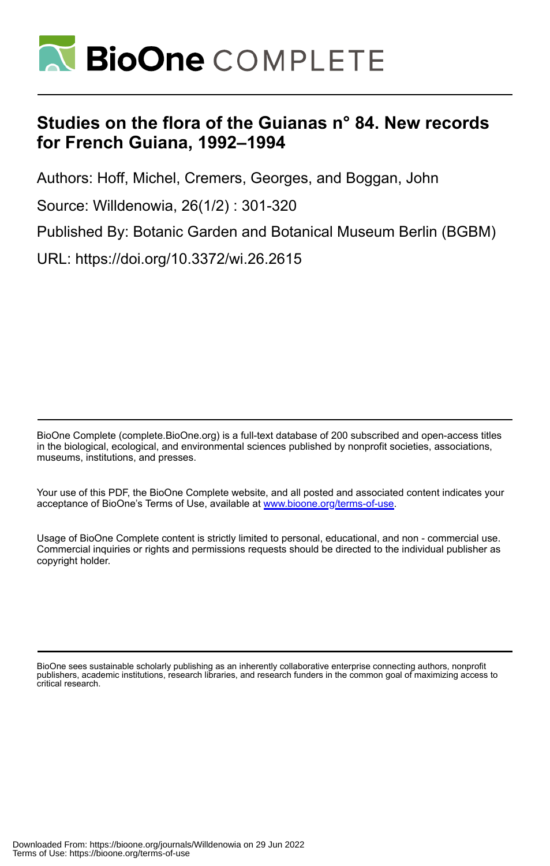

# **Studies on the flora of the Guianas n° 84. New records for French Guiana, 1992–1994**

Authors: Hoff, Michel, Cremers, Georges, and Boggan, John

Source: Willdenowia, 26(1/2) : 301-320

Published By: Botanic Garden and Botanical Museum Berlin (BGBM)

URL: https://doi.org/10.3372/wi.26.2615

BioOne Complete (complete.BioOne.org) is a full-text database of 200 subscribed and open-access titles in the biological, ecological, and environmental sciences published by nonprofit societies, associations, museums, institutions, and presses.

Your use of this PDF, the BioOne Complete website, and all posted and associated content indicates your acceptance of BioOne's Terms of Use, available at www.bioone.org/terms-of-use.

Usage of BioOne Complete content is strictly limited to personal, educational, and non - commercial use. Commercial inquiries or rights and permissions requests should be directed to the individual publisher as copyright holder.

BioOne sees sustainable scholarly publishing as an inherently collaborative enterprise connecting authors, nonprofit publishers, academic institutions, research libraries, and research funders in the common goal of maximizing access to critical research.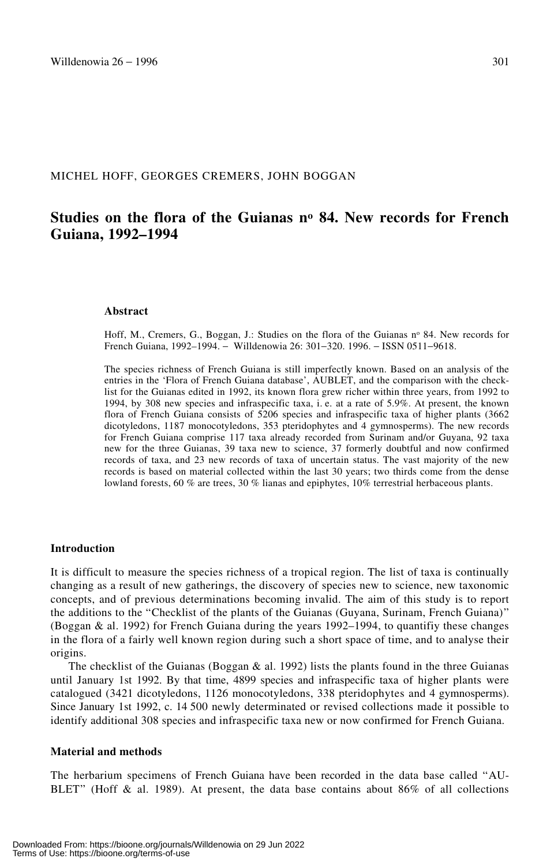## MICHEL HOFF, GEORGES CREMERS, JOHN BOGGAN

## **Studies on the flora of the Guianas no 84. New records for French Guiana, 1992–1994**

#### **Abstract**

Hoff, M., Cremers, G., Boggan, J.: Studies on the flora of the Guianas nº 84. New records for French Guiana, 1992–1994. − Willdenowia 26: 301−320. 1996. − ISSN 0511−9618.

The species richness of French Guiana is still imperfectly known. Based on an analysis of the entries in the 'Flora of French Guiana database', AUBLET, and the comparison with the checklist for the Guianas edited in 1992, its known flora grew richer within three years, from 1992 to 1994, by 308 new species and infraspecific taxa, i. e. at a rate of 5.9%. At present, the known flora of French Guiana consists of 5206 species and infraspecific taxa of higher plants (3662 dicotyledons, 1187 monocotyledons, 353 pteridophytes and 4 gymnosperms). The new records for French Guiana comprise 117 taxa already recorded from Surinam and/or Guyana, 92 taxa new for the three Guianas, 39 taxa new to science, 37 formerly doubtful and now confirmed records of taxa, and 23 new records of taxa of uncertain status. The vast majority of the new records is based on material collected within the last 30 years; two thirds come from the dense lowland forests, 60 % are trees, 30 % lianas and epiphytes, 10% terrestrial herbaceous plants.

#### **Introduction**

It is difficult to measure the species richness of a tropical region. The list of taxa is continually changing as a result of new gatherings, the discovery of species new to science, new taxonomic concepts, and of previous determinations becoming invalid. The aim of this study is to report the additions to the "Checklist of the plants of the Guianas (Guyana, Surinam, French Guiana)" (Boggan & al. 1992) for French Guiana during the years 1992–1994, to quantifiy these changes in the flora of a fairly well known region during such a short space of time, and to analyse their origins.

The checklist of the Guianas (Boggan  $\&$  al. 1992) lists the plants found in the three Guianas until January 1st 1992. By that time, 4899 species and infraspecific taxa of higher plants were catalogued (3421 dicotyledons, 1126 monocotyledons, 338 pteridophytes and 4 gymnosperms). Since January 1st 1992, c. 14 500 newly determinated or revised collections made it possible to identify additional 308 species and infraspecific taxa new or now confirmed for French Guiana.

#### **Material and methods**

The herbarium specimens of French Guiana have been recorded in the data base called "AU-BLET" (Hoff & al. 1989). At present, the data base contains about  $86\%$  of all collections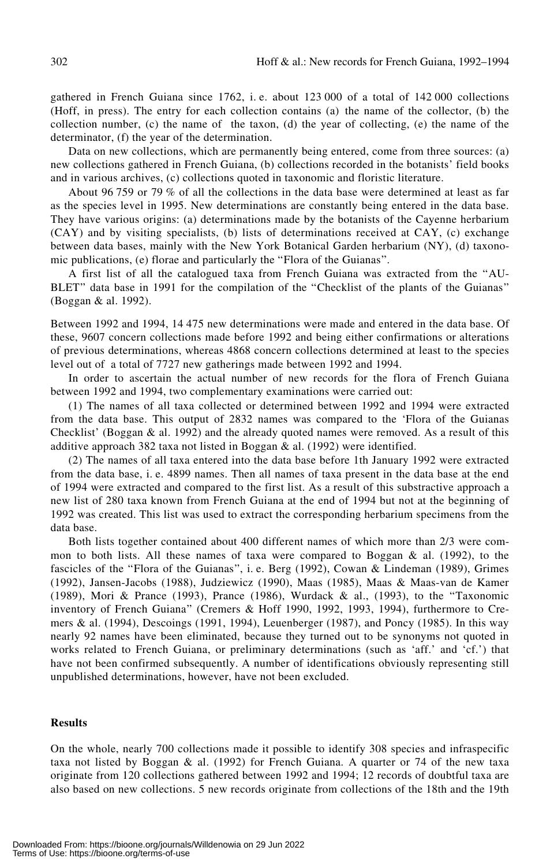gathered in French Guiana since 1762, i. e. about 123 000 of a total of 142 000 collections (Hoff, in press). The entry for each collection contains (a) the name of the collector, (b) the collection number, (c) the name of the taxon, (d) the year of collecting, (e) the name of the determinator, (f) the year of the determination.

Data on new collections, which are permanently being entered, come from three sources: (a) new collections gathered in French Guiana, (b) collections recorded in the botanists' field books and in various archives, (c) collections quoted in taxonomic and floristic literature.

About 96 759 or 79 % of all the collections in the data base were determined at least as far as the species level in 1995. New determinations are constantly being entered in the data base. They have various origins: (a) determinations made by the botanists of the Cayenne herbarium (CAY) and by visiting specialists, (b) lists of determinations received at CAY, (c) exchange between data bases, mainly with the New York Botanical Garden herbarium (NY), (d) taxonomic publications, (e) florae and particularly the "Flora of the Guianas".

A first list of all the catalogued taxa from French Guiana was extracted from the †AU-BLET" data base in 1991 for the compilation of the "Checklist of the plants of the Guianas" (Boggan & al. 1992).

Between 1992 and 1994, 14 475 new determinations were made and entered in the data base. Of these, 9607 concern collections made before 1992 and being either confirmations or alterations of previous determinations, whereas 4868 concern collections determined at least to the species level out of a total of 7727 new gatherings made between 1992 and 1994.

In order to ascertain the actual number of new records for the flora of French Guiana between 1992 and 1994, two complementary examinations were carried out:

(1) The names of all taxa collected or determined between 1992 and 1994 were extracted from the data base. This output of 2832 names was compared to the 'Flora of the Guianas Checklist' (Boggan & al. 1992) and the already quoted names were removed. As a result of this additive approach 382 taxa not listed in Boggan & al. (1992) were identified.

(2) The names of all taxa entered into the data base before 1th January 1992 were extracted from the data base, i. e. 4899 names. Then all names of taxa present in the data base at the end of 1994 were extracted and compared to the first list. As a result of this substractive approach a new list of 280 taxa known from French Guiana at the end of 1994 but not at the beginning of 1992 was created. This list was used to extract the corresponding herbarium specimens from the data base.

Both lists together contained about 400 different names of which more than 2/3 were common to both lists. All these names of taxa were compared to Boggan  $\&$  al. (1992), to the fascicles of the "Flora of the Guianas", i. e. Berg (1992), Cowan & Lindeman (1989), Grimes (1992), Jansen-Jacobs (1988), Judziewicz (1990), Maas (1985), Maas & Maas-van de Kamer (1989), Mori & Prance (1993), Prance (1986), Wurdack & al., (1993), to the †Taxonomic inventory of French Guiana" (Cremers & Hoff 1990, 1992, 1993, 1994), furthermore to Cremers & al. (1994), Descoings (1991, 1994), Leuenberger (1987), and Poncy (1985). In this way nearly 92 names have been eliminated, because they turned out to be synonyms not quoted in works related to French Guiana, or preliminary determinations (such as 'aff.' and 'cf.') that have not been confirmed subsequently. A number of identifications obviously representing still unpublished determinations, however, have not been excluded.

## **Results**

On the whole, nearly 700 collections made it possible to identify 308 species and infraspecific taxa not listed by Boggan  $\&$  al. (1992) for French Guiana. A quarter or 74 of the new taxa originate from 120 collections gathered between 1992 and 1994; 12 records of doubtful taxa are also based on new collections. 5 new records originate from collections of the 18th and the 19th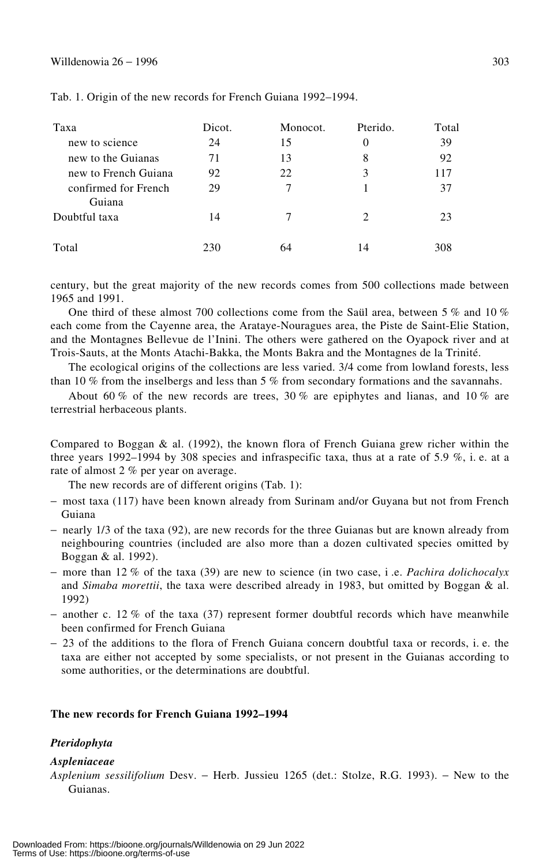## Willdenowia 26 − 1996  $303$

| Taxa                           | Dicot. | Monocot. | Pterido.                    | Total |
|--------------------------------|--------|----------|-----------------------------|-------|
| new to science                 | 24     | 15       | 0                           | 39    |
| new to the Guianas             | 71     | 13       | 8                           | 92    |
| new to French Guiana           | 92     | 22       | 3                           | 117   |
| confirmed for French<br>Guiana | 29     |          |                             | 37    |
| Doubtful taxa                  | 14     |          | $\mathcal{D}_{\mathcal{A}}$ | 23    |
| Total                          | 230    | 64       | 14                          | 308   |

Tab. 1. Origin of the new records for French Guiana 1992–1994.

century, but the great majority of the new records comes from 500 collections made between 1965 and 1991.

One third of these almost 700 collections come from the Saül area, between 5 % and 10 % each come from the Cayenne area, the Arataye-Nouragues area, the Piste de Saint-Elie Station, and the Montagnes Bellevue de l'Inini. The others were gathered on the Oyapock river and at Trois-Sauts, at the Monts Atachi-Bakka, the Monts Bakra and the Montagnes de la Trinité.

The ecological origins of the collections are less varied. 3/4 come from lowland forests, less than 10 % from the inselbergs and less than 5 % from secondary formations and the savannahs.

About 60 % of the new records are trees, 30 % are epiphytes and lianas, and 10 % are terrestrial herbaceous plants.

Compared to Boggan  $\&$  al. (1992), the known flora of French Guiana grew richer within the three years 1992–1994 by 308 species and infraspecific taxa, thus at a rate of 5.9  $\%$ , i.e. at a rate of almost 2 % per year on average.

The new records are of different origins (Tab. 1):

- − most taxa (117) have been known already from Surinam and/or Guyana but not from French Guiana
- − nearly 1/3 of the taxa (92), are new records for the three Guianas but are known already from neighbouring countries (included are also more than a dozen cultivated species omitted by Boggan & al. 1992).
- − more than 12 % of the taxa (39) are new to science (in two case, i .e. *Pachira dolichocalyx* and *Simaba morettii*, the taxa were described already in 1983, but omitted by Boggan & al. 1992)
- − another c. 12 % of the taxa (37) represent former doubtful records which have meanwhile been confirmed for French Guiana
- − 23 of the additions to the flora of French Guiana concern doubtful taxa or records, i. e. the taxa are either not accepted by some specialists, or not present in the Guianas according to some authorities, or the determinations are doubtful.

## **The new records for French Guiana 1992–1994**

#### *Pteridophyta*

#### *Aspleniaceae*

*Asplenium sessilifolium* Desv. − Herb. Jussieu 1265 (det.: Stolze, R.G. 1993). − New to the Guianas.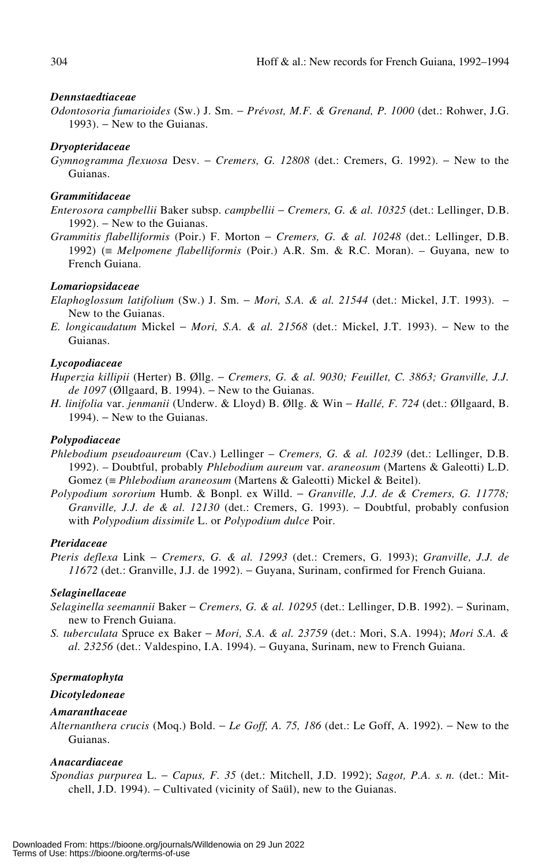#### *Dennstaedtiaceae*

*Odontosoria fumarioides* (Sw.) J. Sm. − *Prévost, M.F. & Grenand, P. 1000* (det.: Rohwer, J.G. 1993). – New to the Guianas.

## *Dryopteridaceae*

*Gymnogramma flexuosa* Desv. − *Cremers, G. 12808* (det.: Cremers, G. 1992). − New to the Guianas.

## *Grammitidaceae*

- *Enterosora campbellii* Baker subsp. *campbellii* − *Cremers, G. & al. 10325* (det.: Lellinger, D.B. 1992). – New to the Guianas.
- *Grammitis flabelliformis* (Poir.) F. Morton − *Cremers, G. & al. 10248* (det.: Lellinger, D.B. 1992) (≡ *Melpomene flabelliformis* (Poir.) A.R. Sm. & R.C. Moran). – Guyana, new to French Guiana.

## *Lomariopsidaceae*

- *Elaphoglossum latifolium* (Sw.) J. Sm. − *Mori, S.A. & al. 21544* (det.: Mickel, J.T. 1993). − New to the Guianas.
- *E. longicaudatum* Mickel − *Mori, S.A. & al. 21568* (det.: Mickel, J.T. 1993). − New to the Guianas.

## *Lycopodiaceae*

- *Huperzia killipii* (Herter) B. Øllg. − *Cremers, G. & al. 9030; Feuillet, C. 3863; Granville, J.J. de 1097* (Øllgaard, B. 1994). – New to the Guianas.
- *H. linifolia* var. *jenmanii* (Underw. & Lloyd) B. Øllg. & Win − *Hallé, F. 724* (det.: Øllgaard, B. 1994). – New to the Guianas.

## *Polypodiaceae*

- *Phlebodium pseudoaureum* (Cav.) Lellinger *Cremers, G. & al. 10239* (det.: Lellinger, D.B. 1992). – Doubtful, probably *Phlebodium aureum* var. *araneosum* (Martens & Galeotti) L.D. Gomez (≡ *Phlebodium araneosum* (Martens & Galeotti) Mickel & Beitel).
- *Polypodium sororium* Humb. & Bonpl. ex Willd. − *Granville, J.J. de & Cremers, G. 11778; Granville, J.J. de & al. 12130* (det.: Cremers, G. 1993). − Doubtful, probably confusion with *Polypodium dissimile* L. or *Polypodium dulce* Poir.

## *Pteridaceae*

*Pteris deflexa* Link − *Cremers, G. & al. 12993* (det.: Cremers, G. 1993); *Granville, J.J. de 11672* (det.: Granville, J.J. de 1992). – Guyana, Surinam, confirmed for French Guiana.

#### *Selaginellaceae*

- *Selaginella seemannii* Baker − *Cremers, G. & al. 10295* (det.: Lellinger, D.B. 1992). − Surinam, new to French Guiana.
- *S. tuberculata* Spruce ex Baker − *Mori, S.A. & al. 23759* (det.: Mori, S.A. 1994); *Mori S.A. & al. 23256* (det.: Valdespino, I.A. 1994). − Guyana, Surinam, new to French Guiana.

#### *Spermatophyta*

#### *Dicotyledoneae*

## *Amaranthaceae*

*Alternanthera crucis* (Moq.) Bold. − *Le Goff, A. 75, 186* (det.: Le Goff, A. 1992). − New to the Guianas.

## *Anacardiaceae*

*Spondias purpurea* L. − *Capus, F. 35* (det.: Mitchell, J.D. 1992); *Sagot, P.A. s. n.* (det.: Mitchell, J.D. 1994). − Cultivated (vicinity of Saül), new to the Guianas.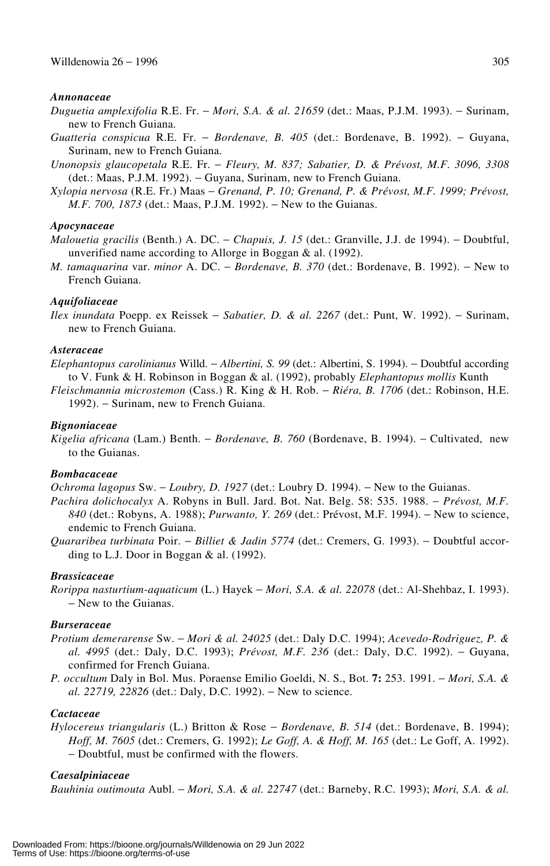#### *Annonaceae*

- *Duguetia amplexifolia* R.E. Fr. − *Mori, S.A. & al. 21659* (det.: Maas, P.J.M. 1993). − Surinam, new to French Guiana.
- *Guatteria conspicua* R.E. Fr. − *Bordenave, B. 405* (det.: Bordenave, B. 1992). − Guyana, Surinam, new to French Guiana.
- *Unonopsis glaucopetala* R.E. Fr. − *Fleury, M. 837; Sabatier, D. & Prévost, M.F. 3096, 3308* (det.: Maas, P.J.M. 1992). − Guyana, Surinam, new to French Guiana.
- *Xylopia nervosa* (R.E. Fr.) Maas − *Grenand, P. 10; Grenand, P. & Prévost, M.F. 1999; Prévost, M.F. 700, 1873* (det.: Maas, P.J.M. 1992). − New to the Guianas.

#### *Apocynaceae*

- *Malouetia gracilis* (Benth.) A. DC. − *Chapuis, J. 15* (det.: Granville, J.J. de 1994). − Doubtful, unverified name according to Allorge in Boggan & al. (1992).
- *M. tamaquarina* var. *minor* A. DC. *Bordenave*, *B.* 370 (det.: Bordenave, B. 1992). New to French Guiana.

## *Aquifoliaceae*

*Ilex inundata* Poepp. ex Reissek − *Sabatier, D. & al. 2267* (det.: Punt, W. 1992). − Surinam, new to French Guiana.

## *Asteraceae*

*Elephantopus carolinianus* Willd. − *Albertini, S. 99* (det.: Albertini, S. 1994). − Doubtful according to V. Funk & H. Robinson in Boggan & al. (1992), probably *Elephantopus mollis* Kunth

*Fleischmannia microstemon* (Cass.) R. King & H. Rob. − *Riéra, B. 1706* (det.: Robinson, H.E. 1992). − Surinam, new to French Guiana.

## *Bignoniaceae*

*Kigelia africana* (Lam.) Benth. − *Bordenave, B. 760* (Bordenave, B. 1994). − Cultivated, new to the Guianas.

## *Bombacaceae*

*Ochroma lagopus* Sw. – *Loubry, D. 1927* (det.: Loubry D. 1994). – New to the Guianas.

- *Pachira dolichocalyx* A. Robyns in Bull. Jard. Bot. Nat. Belg. 58: 535. 1988. − *Prévost, M.F. 840* (det.: Robyns, A. 1988); *Purwanto, Y. 269* (det.: Prévost, M.F. 1994). − New to science, endemic to French Guiana.
- *Quararibea turbinata* Poir. − *Billiet & Jadin 5774* (det.: Cremers, G. 1993). − Doubtful according to L.J. Door in Boggan & al. (1992).

#### *Brassicaceae*

*Rorippa nasturtium-aquaticum* (L.) Hayek − *Mori, S.A. & al. 22078* (det.: Al-Shehbaz, I. 1993). − New to the Guianas.

#### *Burseraceae*

- *Protium demerarense* Sw. − *Mori & al. 24025* (det.: Daly D.C. 1994); *Acevedo-Rodriguez, P. & al. 4995* (det.: Daly, D.C. 1993); *Prévost, M.F. 236* (det.: Daly, D.C. 1992). − Guyana, confirmed for French Guiana.
- *P. occultum* Daly in Bol. Mus. Poraense Emilio Goeldi, N. S., Bot. **7:** 253. 1991. − *Mori, S.A. & al.* 22719, 22826 (det.: Daly, D.C. 1992). – New to science.

## *Cactaceae*

*Hylocereus triangularis* (L.) Britton & Rose − *Bordenave, B. 514* (det.: Bordenave, B. 1994); *Hoff, M. 7605* (det.: Cremers, G. 1992); *Le Goff, A. & Hoff, M. 165* (det.: Le Goff, A. 1992). − Doubtful, must be confirmed with the flowers.

#### *Caesalpiniaceae*

*Bauhinia outimouta* Aubl. − *Mori, S.A. & al. 22747* (det.: Barneby, R.C. 1993); *Mori, S.A. & al.*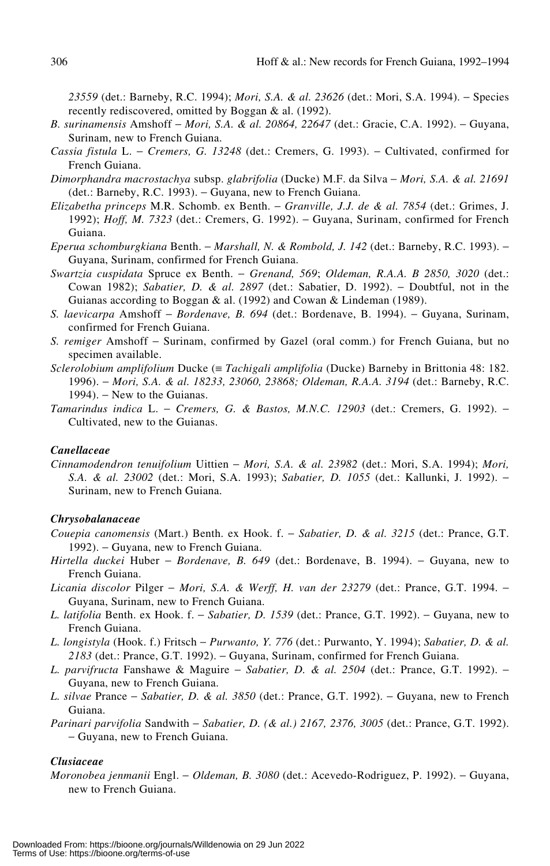*23559* (det.: Barneby, R.C. 1994); *Mori, S.A. & al. 23626* (det.: Mori, S.A. 1994). − Species recently rediscovered, omitted by Boggan & al. (1992).

- *B. surinamensis* Amshoff − *Mori, S.A. & al. 20864, 22647* (det.: Gracie, C.A. 1992). − Guyana, Surinam, new to French Guiana.
- *Cassia fistula* L. − *Cremers, G. 13248* (det.: Cremers, G. 1993). − Cultivated, confirmed for French Guiana.
- *Dimorphandra macrostachya* subsp. *glabrifolia* (Ducke) M.F. da Silva − *Mori, S.A. & al. 21691* (det.: Barneby, R.C. 1993). − Guyana, new to French Guiana.
- *Elizabetha princeps* M.R. Schomb. ex Benth. − *Granville, J.J. de & al. 7854* (det.: Grimes, J. 1992); *Hoff, M. 7323* (det.: Cremers, G. 1992). − Guyana, Surinam, confirmed for French Guiana.
- *Eperua schomburgkiana* Benth. − *Marshall, N. & Rombold, J. 142* (det.: Barneby, R.C. 1993). − Guyana, Surinam, confirmed for French Guiana.
- *Swartzia cuspidata* Spruce ex Benth. − *Grenand, 569*; *Oldeman, R.A.A. B 2850, 3020* (det.: Cowan 1982); *Sabatier, D. & al. 2897* (det.: Sabatier, D. 1992). − Doubtful, not in the Guianas according to Boggan & al. (1992) and Cowan & Lindeman (1989).
- *S. laevicarpa* Amshoff − *Bordenave, B. 694* (det.: Bordenave, B. 1994). − Guyana, Surinam, confirmed for French Guiana.
- *S. remiger* Amshoff − Surinam, confirmed by Gazel (oral comm.) for French Guiana, but no specimen available.
- *Sclerolobium amplifolium* Ducke (≡ *Tachigali amplifolia* (Ducke) Barneby in Brittonia 48: 182. 1996). − *Mori, S.A. & al. 18233, 23060, 23868; Oldeman, R.A.A. 3194* (det.: Barneby, R.C. 1994). – New to the Guianas.
- *Tamarindus indica* L. − *Cremers, G. & Bastos, M.N.C. 12903* (det.: Cremers, G. 1992). − Cultivated, new to the Guianas.

## *Canellaceae*

*Cinnamodendron tenuifolium* Uittien − *Mori, S.A. & al. 23982* (det.: Mori, S.A. 1994); *Mori, S.A. & al. 23002* (det.: Mori, S.A. 1993); *Sabatier, D. 1055* (det.: Kallunki, J. 1992). − Surinam, new to French Guiana.

## *Chrysobalanaceae*

- *Couepia canomensis* (Mart.) Benth. ex Hook. f. − *Sabatier, D. & al. 3215* (det.: Prance, G.T. 1992). – Guyana, new to French Guiana.
- *Hirtella duckei* Huber *Bordenave, B. 649* (det.: Bordenave, B. 1994). Guyana, new to French Guiana.
- *Licania discolor* Pilger − *Mori, S.A. & Werff, H. van der 23279* (det.: Prance, G.T. 1994. − Guyana, Surinam, new to French Guiana.
- *L. latifolia* Benth. ex Hook. f. − *Sabatier, D. 1539* (det.: Prance, G.T. 1992). − Guyana, new to French Guiana.
- *L. longistyla* (Hook. f.) Fritsch − *Purwanto, Y. 776* (det.: Purwanto, Y. 1994); *Sabatier, D. & al.* 2183 (det.: Prance, G.T. 1992). – Guyana, Surinam, confirmed for French Guiana.
- *L. parvifructa* Fanshawe & Maguire − *Sabatier, D. & al. 2504* (det.: Prance, G.T. 1992). − Guyana, new to French Guiana.
- *L. silvae* Prance − *Sabatier, D. & al. 3850* (det.: Prance, G.T. 1992). − Guyana, new to French Guiana.
- *Parinari parvifolia* Sandwith − *Sabatier, D. (& al.) 2167, 2376, 3005* (det.: Prance, G.T. 1992). − Guyana, new to French Guiana.

## *Clusiaceae*

*Moronobea jenmanii* Engl. − *Oldeman, B. 3080* (det.: Acevedo-Rodriguez, P. 1992). − Guyana, new to French Guiana.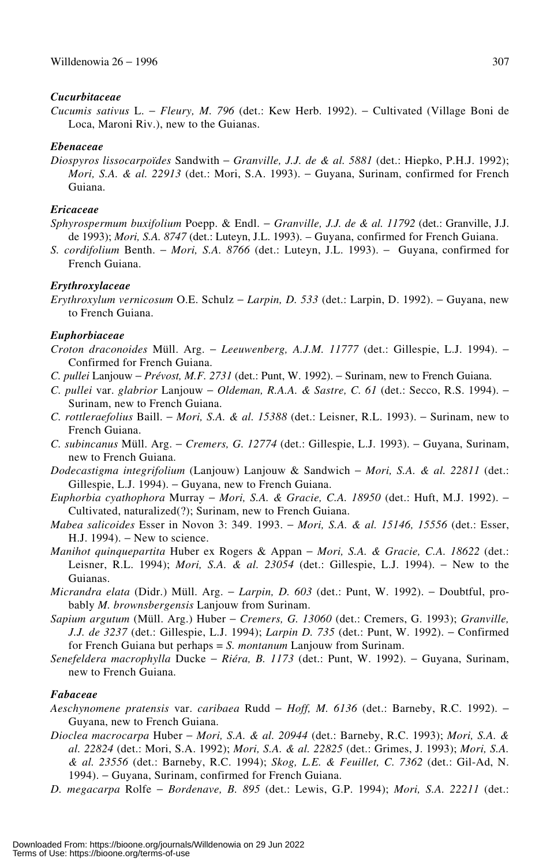## *Cucurbitaceae*

*Cucumis sativus* L. − *Fleury, M. 796* (det.: Kew Herb. 1992). − Cultivated (Village Boni de Loca, Maroni Riv.), new to the Guianas.

## *Ebenaceae*

*Diospyros lissocarpoïdes* Sandwith − *Granville, J.J. de & al. 5881* (det.: Hiepko, P.H.J. 1992); *Mori, S.A. & al. 22913* (det.: Mori, S.A. 1993). – Guyana, Surinam, confirmed for French Guiana.

## *Ericaceae*

- *Sphyrospermum buxifolium* Poepp. & Endl. − *Granville, J.J. de & al. 11792* (det.: Granville, J.J. de 1993); *Mori, S.A. 8747* (det.: Luteyn, J.L. 1993). – Guyana, confirmed for French Guiana.
- *S. cordifolium* Benth. − *Mori, S.A. 8766* (det.: Luteyn, J.L. 1993). − Guyana, confirmed for French Guiana.

## *Erythroxylaceae*

*Erythroxylum vernicosum* O.E. Schulz − *Larpin, D. 533* (det.: Larpin, D. 1992). − Guyana, new to French Guiana.

## *Euphorbiaceae*

- *Croton draconoides* Müll. Arg. − *Leeuwenberg, A.J.M. 11777* (det.: Gillespie, L.J. 1994). − Confirmed for French Guiana.
- *C. pullei* Lanjouw − *Prévost, M.F. 2731* (det.: Punt, W. 1992). − Surinam, new to French Guiana.
- *C. pullei* var. *glabrior* Lanjouw − *Oldeman, R.A.A. & Sastre, C. 61* (det.: Secco, R.S. 1994). − Surinam, new to French Guiana.
- *C. rottleraefolius* Baill. − *Mori, S.A. & al. 15388* (det.: Leisner, R.L. 1993). − Surinam, new to French Guiana.
- *C. subincanus* Müll. Arg. − *Cremers, G. 12774* (det.: Gillespie, L.J. 1993). − Guyana, Surinam, new to French Guiana.
- *Dodecastigma integrifolium* (Lanjouw) Lanjouw & Sandwich − *Mori, S.A. & al. 22811* (det.: Gillespie, L.J. 1994). − Guyana, new to French Guiana.
- *Euphorbia cyathophora* Murray − *Mori, S.A. & Gracie, C.A. 18950* (det.: Huft, M.J. 1992). − Cultivated, naturalized(?); Surinam, new to French Guiana.
- *Mabea salicoides* Esser in Novon 3: 349. 1993. − *Mori, S.A. & al. 15146, 15556* (det.: Esser, H.J. 1994). – New to science.
- *Manihot quinquepartita* Huber ex Rogers & Appan − *Mori, S.A. & Gracie, C.A. 18622* (det.: Leisner, R.L. 1994); *Mori, S.A. & al. 23054* (det.: Gillespie, L.J. 1994). − New to the Guianas.
- *Micrandra elata* (Didr.) Müll. Arg. − *Larpin, D. 603* (det.: Punt, W. 1992). − Doubtful, probably *M. brownsbergensis* Lanjouw from Surinam.
- *Sapium argutum* (Müll. Arg.) Huber − *Cremers, G. 13060* (det.: Cremers, G. 1993); *Granville, J.J. de 3237* (det.: Gillespie, L.J. 1994); *Larpin D. 735* (det.: Punt, W. 1992). − Confirmed for French Guiana but perhaps = *S. montanum* Lanjouw from Surinam.
- *Senefeldera macrophylla* Ducke − *Riéra, B. 1173* (det.: Punt, W. 1992). − Guyana, Surinam, new to French Guiana.

## *Fabaceae*

- *Aeschynomene pratensis* var. *caribaea* Rudd − *Hoff, M. 6136* (det.: Barneby, R.C. 1992). − Guyana, new to French Guiana.
- *Dioclea macrocarpa* Huber − *Mori, S.A. & al. 20944* (det.: Barneby, R.C. 1993); *Mori, S.A. & al. 22824* (det.: Mori, S.A. 1992); *Mori, S.A. & al. 22825* (det.: Grimes, J. 1993); *Mori, S.A. & al. 23556* (det.: Barneby, R.C. 1994); *Skog, L.E. & Feuillet, C. 7362* (det.: Gil-Ad, N. 1994). − Guyana, Surinam, confirmed for French Guiana.
- *D. megacarpa* Rolfe − *Bordenave, B. 895* (det.: Lewis, G.P. 1994); *Mori, S.A. 22211* (det.: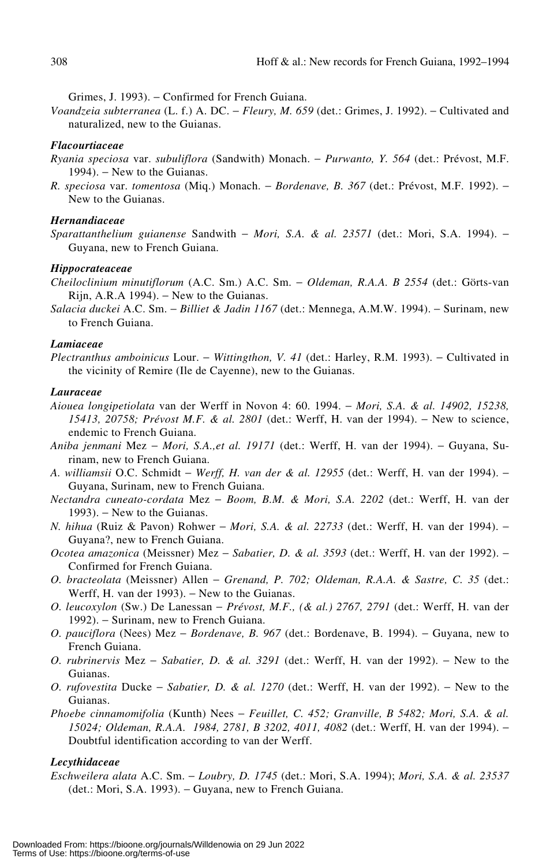Grimes, J. 1993). − Confirmed for French Guiana.

*Voandzeia subterranea* (L. f.) A. DC. − *Fleury, M. 659* (det.: Grimes, J. 1992). − Cultivated and naturalized, new to the Guianas.

## *Flacourtiaceae*

- *Ryania speciosa* var. *subuliflora* (Sandwith) Monach. − *Purwanto, Y. 564* (det.: Prévost, M.F. 1994). − New to the Guianas.
- *R. speciosa* var. *tomentosa* (Miq.) Monach. − *Bordenave, B. 367* (det.: Prévost, M.F. 1992). − New to the Guianas.

## *Hernandiaceae*

*Sparattanthelium guianense* Sandwith − *Mori, S.A. & al. 23571* (det.: Mori, S.A. 1994). − Guyana, new to French Guiana.

#### *Hippocrateaceae*

- *Cheiloclinium minutiflorum* (A.C. Sm.) A.C. Sm. − *Oldeman, R.A.A. B 2554* (det.: Görts-van Rijn, A.R.A 1994). − New to the Guianas.
- *Salacia duckei* A.C. Sm. − *Billiet & Jadin 1167* (det.: Mennega, A.M.W. 1994). − Surinam, new to French Guiana.

## *Lamiaceae*

*Plectranthus amboinicus* Lour. − *Wittingthon, V. 41* (det.: Harley, R.M. 1993). − Cultivated in the vicinity of Remire (Ile de Cayenne), new to the Guianas.

#### *Lauraceae*

- *Aiouea longipetiolata* van der Werff in Novon 4: 60. 1994. − *Mori, S.A. & al. 14902, 15238, 15413, 20758; Prévost M.F. & al. 2801* (det.: Werff, H. van der 1994). − New to science, endemic to French Guiana.
- *Aniba jenmani* Mez − *Mori, S.A.,et al. 19171* (det.: Werff, H. van der 1994). − Guyana, Surinam, new to French Guiana.
- *A. williamsii* O.C. Schmidt − *Werff, H. van der & al. 12955* (det.: Werff, H. van der 1994). − Guyana, Surinam, new to French Guiana.
- *Nectandra cuneato-cordata* Mez − *Boom, B.M. & Mori, S.A. 2202* (det.: Werff, H. van der 1993). – New to the Guianas.
- *N. hihua* (Ruiz & Pavon) Rohwer − *Mori, S.A. & al. 22733* (det.: Werff, H. van der 1994). − Guyana?, new to French Guiana.
- *Ocotea amazonica* (Meissner) Mez − *Sabatier, D. & al. 3593* (det.: Werff, H. van der 1992). − Confirmed for French Guiana.
- *O. bracteolata* (Meissner) Allen − *Grenand, P. 702; Oldeman, R.A.A. & Sastre, C. 35* (det.: Werff, H. van der 1993). – New to the Guianas.
- *O. leucoxylon* (Sw.) De Lanessan − *Prévost, M.F., (& al.) 2767, 2791* (det.: Werff, H. van der 1992). − Surinam, new to French Guiana.
- *O. pauciflora* (Nees) Mez *Bordenave, B. 967* (det.: Bordenave, B. 1994). Guyana, new to French Guiana.
- *O. rubrinervis* Mez − *Sabatier, D. & al. 3291* (det.: Werff, H. van der 1992). − New to the Guianas.
- *O. rufovestita* Ducke *Sabatier, D. & al. 1270* (det.: Werff, H. van der 1992). New to the Guianas.
- *Phoebe cinnamomifolia* (Kunth) Nees − *Feuillet, C. 452; Granville, B 5482; Mori, S.A. & al. 15024; Oldeman, R.A.A. 1984, 2781, B 3202, 4011, 4082* (det.: Werff, H. van der 1994). − Doubtful identification according to van der Werff.

## *Lecythidaceae*

*Eschweilera alata* A.C. Sm. − *Loubry, D. 1745* (det.: Mori, S.A. 1994); *Mori, S.A. & al. 23537* (det.: Mori, S.A. 1993). − Guyana, new to French Guiana.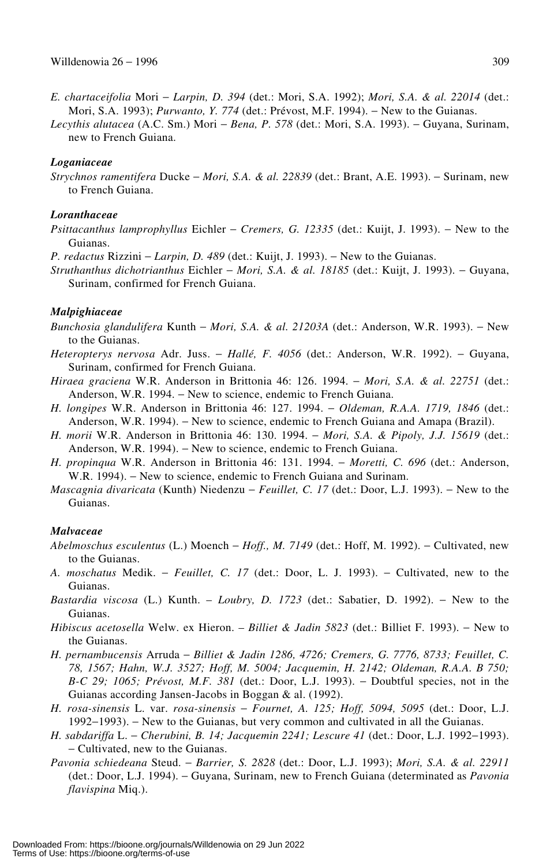- *E. chartaceifolia* Mori − *Larpin, D. 394* (det.: Mori, S.A. 1992); *Mori, S.A. & al. 22014* (det.: Mori, S.A. 1993); *Purwanto, Y. 774* (det.: Prévost, M.F. 1994). − New to the Guianas.
- *Lecythis alutacea* (A.C. Sm.) Mori − *Bena, P. 578* (det.: Mori, S.A. 1993). − Guyana, Surinam, new to French Guiana.

## *Loganiaceae*

*Strychnos ramentifera* Ducke − *Mori, S.A. & al. 22839* (det.: Brant, A.E. 1993). − Surinam, new to French Guiana.

#### *Loranthaceae*

- *Psittacanthus lamprophyllus* Eichler − *Cremers, G. 12335* (det.: Kuijt, J. 1993). − New to the Guianas.
- *P. redactus* Rizzini *− Larpin, D. 489* (det.: Kuijt, J. 1993). − New to the Guianas.
- *Struthanthus dichotrianthus* Eichler − *Mori, S.A. & al. 18185* (det.: Kuijt, J. 1993). − Guyana, Surinam, confirmed for French Guiana.

#### *Malpighiaceae*

- *Bunchosia glandulifera* Kunth − *Mori, S.A. & al. 21203A* (det.: Anderson, W.R. 1993). − New to the Guianas.
- *Heteropterys nervosa* Adr. Juss. − *Hallé, F. 4056* (det.: Anderson, W.R. 1992). − Guyana, Surinam, confirmed for French Guiana.
- *Hiraea graciena* W.R. Anderson in Brittonia 46: 126. 1994. − *Mori, S.A. & al. 22751* (det.: Anderson, W.R. 1994. − New to science, endemic to French Guiana.
- *H. longipes* W.R. Anderson in Brittonia 46: 127. 1994. − *Oldeman, R.A.A. 1719, 1846* (det.: Anderson, W.R. 1994). − New to science, endemic to French Guiana and Amapa (Brazil).
- *H. morii* W.R. Anderson in Brittonia 46: 130. 1994. − *Mori, S.A. & Pipoly, J.J. 15619* (det.: Anderson, W.R. 1994). − New to science, endemic to French Guiana.
- *H. propinqua* W.R. Anderson in Brittonia 46: 131. 1994. − *Moretti, C. 696* (det.: Anderson, W.R. 1994). − New to science, endemic to French Guiana and Surinam.
- *Mascagnia divaricata* (Kunth) Niedenzu *Feuillet, C. 17* (det.: Door, L.J. 1993). New to the Guianas.

#### *Malvaceae*

- *Abelmoschus esculentus* (L.) Moench − *Hoff., M. 7149* (det.: Hoff, M. 1992). − Cultivated, new to the Guianas.
- *A. moschatus* Medik. − *Feuillet, C. 17* (det.: Door, L. J. 1993). − Cultivated, new to the Guianas.
- *Bastardia viscosa* (L.) Kunth. *Loubry, D. 1723* (det.: Sabatier, D. 1992). − New to the Guianas.
- *Hibiscus acetosella* Welw. ex Hieron. *Billiet & Jadin 5823* (det.: Billiet F. 1993). − New to the Guianas.
- *H. pernambucensis* Arruda − *Billiet & Jadin 1286, 4726; Cremers, G. 7776, 8733; Feuillet, C. 78, 1567; Hahn, W.J. 3527; Hoff, M. 5004; Jacquemin, H. 2142; Oldeman, R.A.A. B 750; B-C 29; 1065; Prévost, M.F. 381* (det.: Door, L.J. 1993). − Doubtful species, not in the Guianas according Jansen-Jacobs in Boggan & al. (1992).
- *H. rosa-sinensis* L. var. *rosa-sinensis* − *Fournet, A. 125; Hoff, 5094, 5095* (det.: Door, L.J. 1992−1993). − New to the Guianas, but very common and cultivated in all the Guianas.
- *H. sabdariffa* L. − *Cherubini, B. 14; Jacquemin 2241; Lescure 41* (det.: Door, L.J. 1992−1993). − Cultivated, new to the Guianas.
- *Pavonia schiedeana* Steud. − *Barrier, S. 2828* (det.: Door, L.J. 1993); *Mori, S.A. & al. 22911* (det.: Door, L.J. 1994). − Guyana, Surinam, new to French Guiana (determinated as *Pavonia flavispina* Miq.).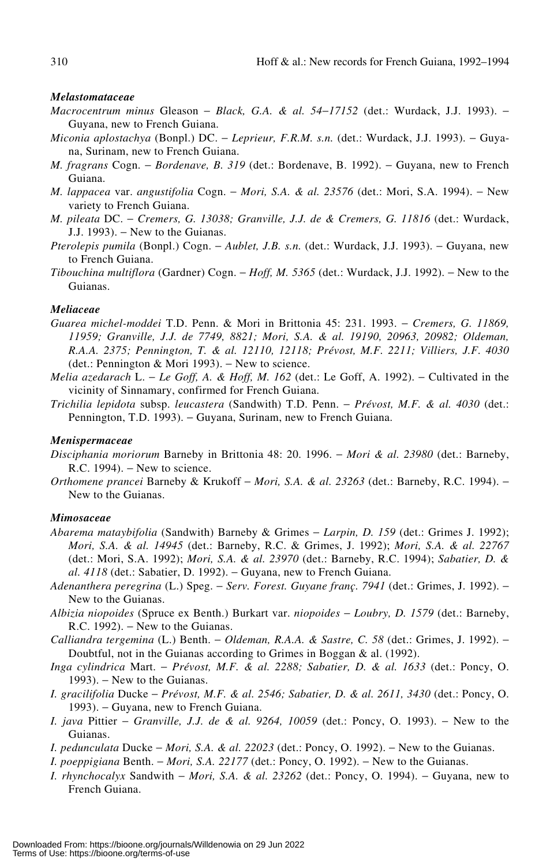#### *Melastomataceae*

- *Macrocentrum minus* Gleason − *Black, G.A. & al. 54*−*17152* (det.: Wurdack, J.J. 1993). − Guyana, new to French Guiana.
- *Miconia aplostachya* (Bonpl.) DC. − *Leprieur, F.R.M. s.n.* (det.: Wurdack, J.J. 1993). − Guyana, Surinam, new to French Guiana.
- *M. fragrans* Cogn. *Bordenave, B. 319* (det.: Bordenave, B. 1992). Guyana, new to French Guiana.
- *M. lappacea* var. *angustifolia* Cogn. − *Mori, S.A. & al. 23576* (det.: Mori, S.A. 1994). − New variety to French Guiana.
- *M. pileata* DC. − *Cremers, G. 13038; Granville, J.J. de & Cremers, G. 11816* (det.: Wurdack, J.J. 1993). − New to the Guianas.
- *Pterolepis pumila* (Bonpl.) Cogn. *Aublet, J.B. s.n.* (det.: Wurdack, J.J. 1993). Guyana, new to French Guiana.
- *Tibouchina multiflora* (Gardner) Cogn. − *Hoff, M. 5365* (det.: Wurdack, J.J. 1992). − New to the Guianas.

## *Meliaceae*

- *Guarea michel-moddei* T.D. Penn. & Mori in Brittonia 45: 231. 1993. − *Cremers, G. 11869, 11959; Granville, J.J. de 7749, 8821; Mori, S.A. & al. 19190, 20963, 20982; Oldeman, R.A.A. 2375; Pennington, T. & al. 12110, 12118; Prévost, M.F. 2211; Villiers, J.F. 4030* (det.: Pennington & Mori 1993). − New to science.
- *Melia azedarach* L. *Le Goff, A. & Hoff, M. 162* (det.: Le Goff, A. 1992). Cultivated in the vicinity of Sinnamary, confirmed for French Guiana.
- *Trichilia lepidota* subsp. *leucastera* (Sandwith) T.D. Penn. − *Prévost, M.F. & al. 4030* (det.: Pennington, T.D. 1993). – Guyana, Surinam, new to French Guiana.

#### *Menispermaceae*

- *Disciphania moriorum* Barneby in Brittonia 48: 20. 1996. − *Mori & al. 23980* (det.: Barneby, R.C. 1994). − New to science.
- *Orthomene prancei* Barneby & Krukoff − *Mori, S.A. & al. 23263* (det.: Barneby, R.C. 1994). − New to the Guianas.

#### *Mimosaceae*

- *Abarema mataybifolia* (Sandwith) Barneby & Grimes − *Larpin, D. 159* (det.: Grimes J. 1992); *Mori, S.A. & al. 14945* (det.: Barneby, R.C. & Grimes, J. 1992); *Mori, S.A. & al. 22767* (det.: Mori, S.A. 1992); *Mori, S.A. & al. 23970* (det.: Barneby, R.C. 1994); *Sabatier, D. & al. 4118* (det.: Sabatier, D. 1992). – Guyana, new to French Guiana.
- *Adenanthera peregrina* (L.) Speg. − *Serv. Forest. Guyane franç. 7941* (det.: Grimes, J. 1992). − New to the Guianas.
- *Albizia niopoides* (Spruce ex Benth.) Burkart var. *niopoides* − *Loubry, D. 1579* (det.: Barneby, R.C. 1992). – New to the Guianas.
- *Calliandra tergemina* (L.) Benth. − *Oldeman, R.A.A. & Sastre, C. 58* (det.: Grimes, J. 1992). − Doubtful, not in the Guianas according to Grimes in Boggan & al. (1992).
- *Inga cylindrica* Mart. − *Prévost, M.F. & al. 2288; Sabatier, D. & al. 1633* (det.: Poncy, O. 1993). – New to the Guianas.
- *I. gracilifolia* Ducke − *Prévost, M.F. & al. 2546; Sabatier, D. & al. 2611, 3430* (det.: Poncy, O. 1993). – Guyana, new to French Guiana.
- *I. java* Pittier − *Granville, J.J. de & al. 9264, 10059* (det.: Poncy, O. 1993). − New to the Guianas.
- *I. pedunculata* Ducke *Mori, S.A. & al. 22023* (det.: Poncy, O. 1992). New to the Guianas.
- *I. poeppigiana* Benth. − *Mori, S.A. 22177* (det.: Poncy, O. 1992). − New to the Guianas.
- *I. rhynchocalyx* Sandwith *Mori, S.A. & al. 23262* (det.: Poncy, O. 1994). Guyana, new to French Guiana.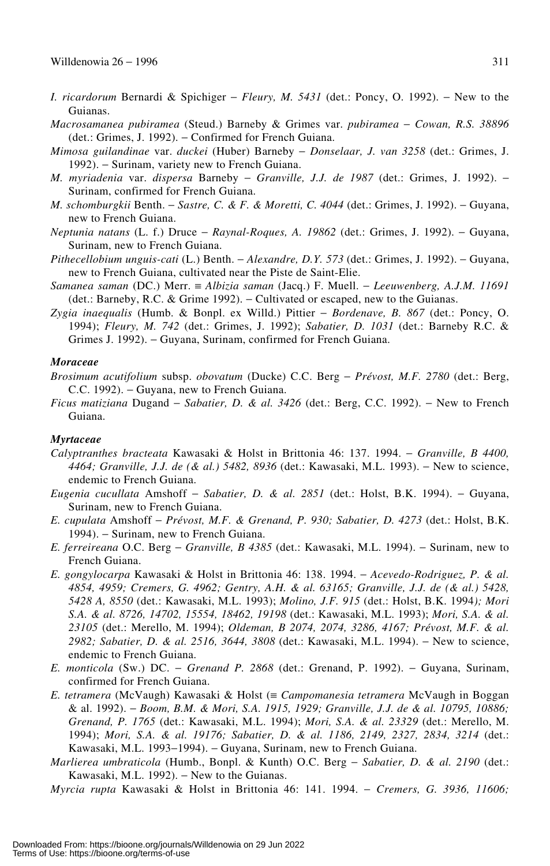- *I. ricardorum* Bernardi & Spichiger − *Fleury, M. 5431* (det.: Poncy, O. 1992). − New to the Guianas.
- *Macrosamanea pubiramea* (Steud.) Barneby & Grimes var. *pubiramea* − *Cowan, R.S. 38896* (det.: Grimes, J. 1992). − Confirmed for French Guiana.
- *Mimosa guilandinae* var. *duckei* (Huber) Barneby − *Donselaar, J. van 3258* (det.: Grimes, J. 1992). − Surinam, variety new to French Guiana.
- *M. myriadenia* var. *dispersa* Barneby − *Granville, J.J. de 1987* (det.: Grimes, J. 1992). − Surinam, confirmed for French Guiana.
- *M. schomburgkii* Benth. − *Sastre, C. & F. & Moretti, C. 4044* (det.: Grimes, J. 1992). − Guyana, new to French Guiana.
- *Neptunia natans* (L. f.) Druce − *Raynal-Roques, A. 19862* (det.: Grimes, J. 1992). − Guyana, Surinam, new to French Guiana.
- *Pithecellobium unguis-cati* (L.) Benth. − *Alexandre, D.Y. 573* (det.: Grimes, J. 1992). − Guyana, new to French Guiana, cultivated near the Piste de Saint-Elie.
- *Samanea saman* (DC.) Merr. ≡ *Albizia saman* (Jacq.) F. Muell. − *Leeuwenberg, A.J.M. 11691* (det.: Barneby, R.C. & Grime 1992). − Cultivated or escaped, new to the Guianas.
- *Zygia inaequalis* (Humb. & Bonpl. ex Willd.) Pittier − *Bordenave, B. 867* (det.: Poncy, O. 1994); *Fleury, M. 742* (det.: Grimes, J. 1992); *Sabatier, D. 1031* (det.: Barneby R.C. & Grimes J. 1992). − Guyana, Surinam, confirmed for French Guiana.

## *Moraceae*

- *Brosimum acutifolium* subsp. *obovatum* (Ducke) C.C. Berg − *Prévost, M.F. 2780* (det.: Berg, C.C. 1992). − Guyana, new to French Guiana.
- *Ficus matiziana* Dugand − *Sabatier, D. & al. 3426* (det.: Berg, C.C. 1992). − New to French Guiana.

#### *Myrtaceae*

- *Calyptranthes bracteata* Kawasaki & Holst in Brittonia 46: 137. 1994. − *Granville, B 4400, 4464; Granville, J.J. de (& al.) 5482, 8936* (det.: Kawasaki, M.L. 1993). – New to science, endemic to French Guiana.
- *Eugenia cucullata* Amshoff − *Sabatier, D. & al. 2851* (det.: Holst, B.K. 1994). − Guyana, Surinam, new to French Guiana.
- *E. cupulata* Amshoff − *Prévost, M.F. & Grenand, P. 930; Sabatier, D. 4273* (det.: Holst, B.K. 1994). − Surinam, new to French Guiana.
- *E. ferreireana* O.C. Berg − *Granville, B 4385* (det.: Kawasaki, M.L. 1994). − Surinam, new to French Guiana.
- *E. gongylocarpa* Kawasaki & Holst in Brittonia 46: 138. 1994. − *Acevedo-Rodriguez, P. & al. 4854, 4959; Cremers, G. 4962; Gentry, A.H. & al. 63165; Granville, J.J. de (& al.) 5428, 5428 A, 8550* (det.: Kawasaki, M.L. 1993); *Molino, J.F. 915* (det.: Holst, B.K. 1994*); Mori S.A. & al. 8726, 14702, 15554, 18462, 19198* (det.: Kawasaki, M.L. 1993); *Mori, S.A. & al. 23105* (det.: Merello, M. 1994); *Oldeman, B 2074, 2074, 3286, 4167; Prévost, M.F. & al.* 2982; Sabatier, D. & al. 2516, 3644, 3808 (det.: Kawasaki, M.L. 1994). – New to science, endemic to French Guiana.
- *E. monticola* (Sw.) DC. − *Grenand P. 2868* (det.: Grenand, P. 1992). − Guyana, Surinam, confirmed for French Guiana.
- *E. tetramera* (McVaugh) Kawasaki & Holst (≡ *Campomanesia tetramera* McVaugh in Boggan & al. 1992). − *Boom, B.M. & Mori, S.A. 1915, 1929; Granville, J.J. de & al. 10795, 10886; Grenand, P. 1765* (det.: Kawasaki, M.L. 1994); *Mori, S.A. & al. 23329* (det.: Merello, M. 1994); *Mori, S.A. & al. 19176; Sabatier, D. & al. 1186, 2149, 2327, 2834, 3214* (det.: Kawasaki, M.L. 1993−1994). − Guyana, Surinam, new to French Guiana.
- *Marlierea umbraticola* (Humb., Bonpl. & Kunth) O.C. Berg − *Sabatier, D. & al. 2190* (det.: Kawasaki, M.L. 1992). − New to the Guianas.

*Myrcia rupta* Kawasaki & Holst in Brittonia 46: 141. 1994. − *Cremers, G. 3936, 11606;*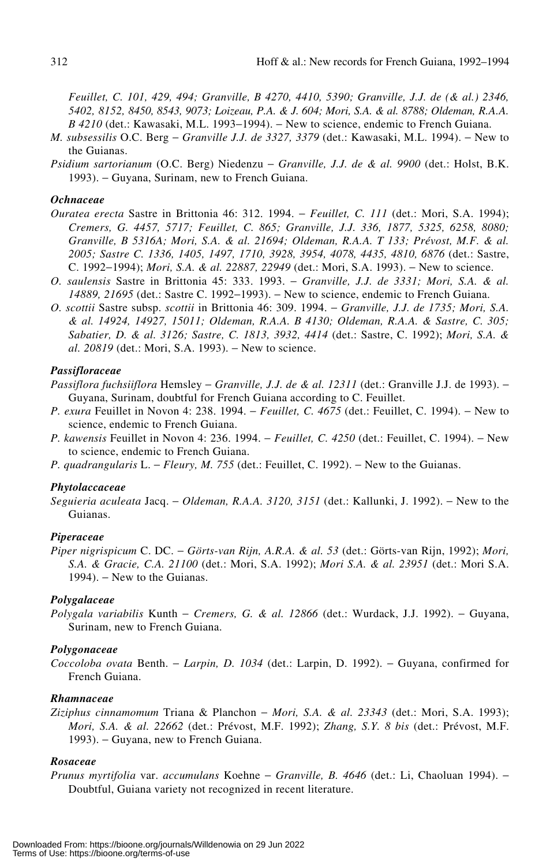*Feuillet, C. 101, 429, 494; Granville, B 4270, 4410, 5390; Granville, J.J. de (& al.) 2346, 5402, 8152, 8450, 8543, 9073; Loizeau, P.A. & J. 604; Mori, S.A. & al. 8788; Oldeman, R.A.A. B 4210* (det.: Kawasaki, M.L. 1993–1994). – New to science, endemic to French Guiana.

- *M. subsessilis* O.C. Berg − *Granville J.J. de 3327, 3379* (det.: Kawasaki, M.L. 1994). − New to the Guianas.
- *Psidium sartorianum* (O.C. Berg) Niedenzu − *Granville, J.J. de & al. 9900* (det.: Holst, B.K. 1993). − Guyana, Surinam, new to French Guiana.

## *Ochnaceae*

- *Ouratea erecta* Sastre in Brittonia 46: 312. 1994. − *Feuillet, C. 111* (det.: Mori, S.A. 1994); *Cremers, G. 4457, 5717; Feuillet, C. 865; Granville, J.J. 336, 1877, 5325, 6258, 8080; Granville, B 5316A; Mori, S.A. & al. 21694; Oldeman, R.A.A. T 133; Prévost, M.F. & al. 2005; Sastre C. 1336, 1405, 1497, 1710, 3928, 3954, 4078, 4435, 4810, 6876* (det.: Sastre, C. 1992−1994); *Mori, S.A. & al. 22887, 22949* (det.: Mori, S.A. 1993). − New to science.
- *O. saulensis* Sastre in Brittonia 45: 333. 1993. − *Granville, J.J. de 3331; Mori, S.A. & al. 14889, 21695* (det.: Sastre C. 1992–1993). – New to science, endemic to French Guiana.
- *O. scottii* Sastre subsp. *scottii* in Brittonia 46: 309. 1994. − *Granville, J.J. de 1735; Mori, S.A. & al. 14924, 14927, 15011; Oldeman, R.A.A. B 4130; Oldeman, R.A.A. & Sastre, C. 305; Sabatier, D. & al. 3126; Sastre, C. 1813, 3932, 4414* (det.: Sastre, C. 1992); *Mori, S.A. & al.* 20819 (det.: Mori, S.A. 1993). – New to science.

## *Passifloraceae*

- *Passiflora fuchsiiflora* Hemsley − *Granville, J.J. de & al. 12311* (det.: Granville J.J. de 1993). − Guyana, Surinam, doubtful for French Guiana according to C. Feuillet.
- *P. exura* Feuillet in Novon 4: 238. 1994. − *Feuillet, C. 4675* (det.: Feuillet, C. 1994). − New to science, endemic to French Guiana.
- *P. kawensis* Feuillet in Novon 4: 236. 1994. − *Feuillet, C. 4250* (det.: Feuillet, C. 1994). − New to science, endemic to French Guiana.
- *P. quadrangularis* L. − *Fleury, M. 755* (det.: Feuillet, C. 1992). − New to the Guianas.

#### *Phytolaccaceae*

*Seguieria aculeata* Jacq. − *Oldeman, R.A.A. 3120, 3151* (det.: Kallunki, J. 1992). − New to the Guianas.

## *Piperaceae*

*Piper nigrispicum* C. DC. − *Görts-van Rijn, A.R.A. & al. 53* (det.: Görts-van Rijn, 1992); *Mori, S.A. & Gracie, C.A. 21100* (det.: Mori, S.A. 1992); *Mori S.A. & al. 23951* (det.: Mori S.A. 1994). – New to the Guianas.

#### *Polygalaceae*

*Polygala variabilis* Kunth − *Cremers, G. & al. 12866* (det.: Wurdack, J.J. 1992). − Guyana, Surinam, new to French Guiana.

## *Polygonaceae*

*Coccoloba ovata* Benth. − *Larpin, D. 1034* (det.: Larpin, D. 1992). − Guyana, confirmed for French Guiana.

#### *Rhamnaceae*

*Ziziphus cinnamomum* Triana & Planchon − *Mori, S.A. & al. 23343* (det.: Mori, S.A. 1993); *Mori, S.A. & al. 22662* (det.: Prévost, M.F. 1992); *Zhang, S.Y. 8 bis* (det.: Prévost, M.F. 1993). − Guyana, new to French Guiana.

## *Rosaceae*

*Prunus myrtifolia* var. *accumulans* Koehne − *Granville, B. 4646* (det.: Li, Chaoluan 1994). − Doubtful, Guiana variety not recognized in recent literature.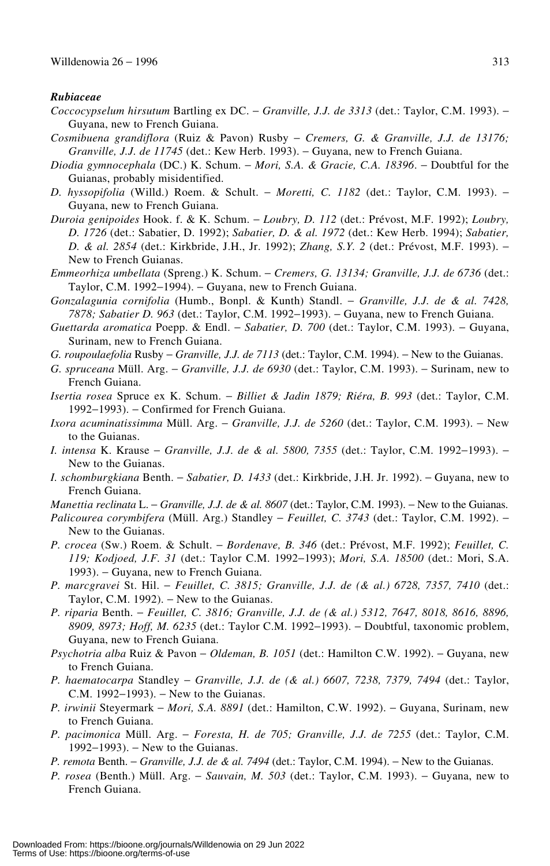#### *Rubiaceae*

- *Coccocypselum hirsutum* Bartling ex DC. − *Granville, J.J. de 3313* (det.: Taylor, C.M. 1993). − Guyana, new to French Guiana.
- *Cosmibuena grandiflora* (Ruiz & Pavon) Rusby − *Cremers, G. & Granville, J.J. de 13176; Granville, J.J. de 11745* (det.: Kew Herb. 1993). – Guyana, new to French Guiana.
- *Diodia gymnocephala* (DC.) K. Schum. − *Mori, S.A. & Gracie, C.A. 18396*. − Doubtful for the Guianas, probably misidentified.
- *D. hyssopifolia* (Willd.) Roem. & Schult. − *Moretti, C. 1182* (det.: Taylor, C.M. 1993). − Guyana, new to French Guiana.
- *Duroia genipoides* Hook. f. & K. Schum. − *Loubry, D. 112* (det.: Prévost, M.F. 1992); *Loubry, D. 1726* (det.: Sabatier, D. 1992); *Sabatier, D. & al. 1972* (det.: Kew Herb. 1994); *Sabatier, D. & al. 2854* (det.: Kirkbride, J.H., Jr. 1992); *Zhang, S.Y. 2* (det.: Prévost, M.F. 1993). − New to French Guianas.
- *Emmeorhiza umbellata* (Spreng.) K. Schum. − *Cremers, G. 13134; Granville, J.J. de 6736* (det.: Taylor, C.M. 1992–1994). – Guyana, new to French Guiana.
- *Gonzalagunia cornifolia* (Humb., Bonpl. & Kunth) Standl. − *Granville, J.J. de & al. 7428, 7878; Sabatier D. 963* (det.: Taylor, C.M. 1992−1993). − Guyana, new to French Guiana.
- *Guettarda aromatica* Poepp. & Endl. − *Sabatier, D. 700* (det.: Taylor, C.M. 1993). − Guyana, Surinam, new to French Guiana.
- *G. roupoulaefolia* Rusby *Granville, J.J. de 7113* (det.: Taylor, C.M. 1994). New to the Guianas.
- *G. spruceana* Müll. Arg. − *Granville, J.J. de 6930* (det.: Taylor, C.M. 1993). − Surinam, new to French Guiana.
- *Isertia rosea* Spruce ex K. Schum. − *Billiet & Jadin 1879; Riéra, B. 993* (det.: Taylor, C.M. 1992−1993). − Confirmed for French Guiana.
- *Ixora acuminatissimma* Müll. Arg. *Granville, J.J. de 5260* (det.: Taylor, C.M. 1993). New to the Guianas.
- *I. intensa* K. Krause *Granville, J.J. de & al. 5800, 7355* (det.: Taylor, C.M. 1992–1993). New to the Guianas.
- *I. schomburgkiana* Benth. − *Sabatier, D. 1433* (det.: Kirkbride, J.H. Jr. 1992). − Guyana, new to French Guiana.
- *Manettia reclinata* L. *Granville, J.J. de & al. 8607* (det.: Taylor, C.M. 1993). New to the Guianas.
- *Palicourea corymbifera* (Müll. Arg.) Standley *Feuillet, C. 3743* (det.: Taylor, C.M. 1992). New to the Guianas.
- *P. crocea* (Sw.) Roem. & Schult. − *Bordenave, B. 346* (det.: Prévost, M.F. 1992); *Feuillet, C. 119; Kodjoed, J.F. 31* (det.: Taylor C.M. 1992−1993); *Mori, S.A. 18500* (det.: Mori, S.A. 1993). – Guyana, new to French Guiana.
- *P. marcgravei* St. Hil. − *Feuillet, C. 3815; Granville, J.J. de (& al.) 6728, 7357, 7410* (det.: Taylor, C.M. 1992). − New to the Guianas.
- *P. riparia* Benth. − *Feuillet, C. 3816; Granville, J.J. de (& al.) 5312, 7647, 8018, 8616, 8896, 8909, 8973; Hoff, M. 6235* (det.: Taylor C.M. 1992−1993). − Doubtful, taxonomic problem, Guyana, new to French Guiana.
- *Psychotria alba* Ruiz & Pavon − *Oldeman, B. 1051* (det.: Hamilton C.W. 1992). − Guyana, new to French Guiana.
- *P. haematocarpa* Standley *Granville, J.J. de (& al.) 6607, 7238, 7379, 7494* (det.: Taylor, C.M. 1992−1993). − New to the Guianas.
- *P. irwinii* Steyermark − *Mori, S.A. 8891* (det.: Hamilton, C.W. 1992). − Guyana, Surinam, new to French Guiana.
- *P. pacimonica* Müll. Arg. − *Foresta, H. de 705; Granville, J.J. de 7255* (det.: Taylor, C.M. 1992−1993). − New to the Guianas.
- *P. remota* Benth. *Granville, J.J. de & al. 7494* (det.: Taylor, C.M. 1994). New to the Guianas.
- *P. rosea* (Benth.) Müll. Arg. *Sauvain, M. 503* (det.: Taylor, C.M. 1993). Guyana, new to French Guiana.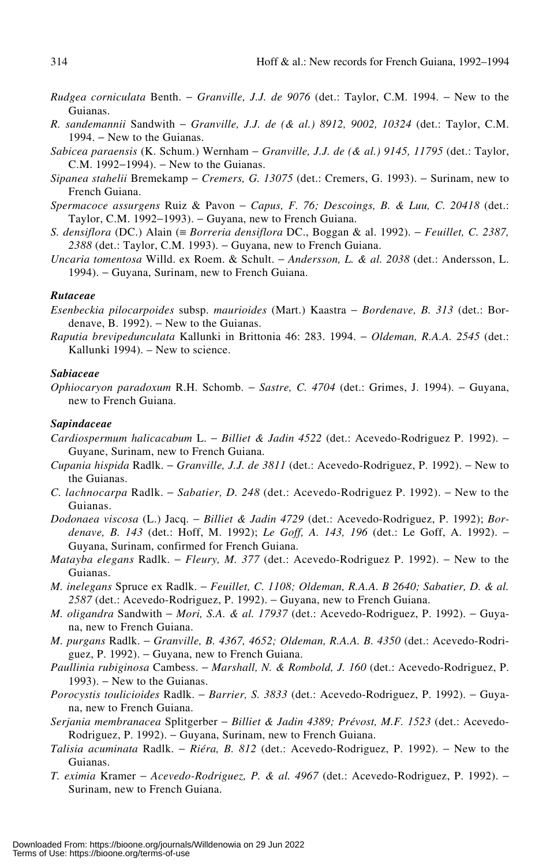- *Rudgea corniculata* Benth. − *Granville, J.J. de 9076* (det.: Taylor, C.M. 1994. − New to the Guianas.
- *R. sandemannii* Sandwith − *Granville, J.J. de (& al.) 8912, 9002, 10324* (det.: Taylor, C.M. 1994. – New to the Guianas.
- *Sabicea paraensis* (K. Schum.) Wernham − *Granville, J.J. de (& al.) 9145, 11795* (det.: Taylor, C.M. 1992−1994). − New to the Guianas.
- *Sipanea stahelii* Bremekamp − *Cremers, G. 13075* (det.: Cremers, G. 1993). − Surinam, new to French Guiana.
- *Spermacoce assurgens* Ruiz & Pavon − *Capus, F. 76; Descoings, B. & Luu, C. 20418* (det.: Taylor, C.M. 1992−1993). − Guyana, new to French Guiana.
- *S. densiflora* (DC.) Alain (≡ *Borreria densiflora* DC., Boggan & al. 1992). − *Feuillet, C. 2387,* 2388 (det.: Taylor, C.M. 1993). – Guyana, new to French Guiana.
- *Uncaria tomentosa* Willd. ex Roem. & Schult. − *Andersson, L. & al. 2038* (det.: Andersson, L. 1994). − Guyana, Surinam, new to French Guiana.

#### *Rutaceae*

*Esenbeckia pilocarpoides* subsp. *maurioides* (Mart.) Kaastra − *Bordenave, B. 313* (det.: Bordenave, B. 1992).  $-$  New to the Guianas.

*Raputia brevipedunculata* Kallunki in Brittonia 46: 283. 1994. − *Oldeman, R.A.A. 2545* (det.: Kallunki 1994). – New to science.

## *Sabiaceae*

*Ophiocaryon paradoxum* R.H. Schomb. − *Sastre, C. 4704* (det.: Grimes, J. 1994). − Guyana, new to French Guiana.

#### *Sapindaceae*

- *Cardiospermum halicacabum* L. − *Billiet & Jadin 4522* (det.: Acevedo-Rodriguez P. 1992). − Guyane, Surinam, new to French Guiana.
- *Cupania hispida* Radlk. − *Granville, J.J. de 3811* (det.: Acevedo-Rodriguez, P. 1992). − New to the Guianas.
- *C. lachnocarpa* Radlk. − *Sabatier, D. 248* (det.: Acevedo-Rodriguez P. 1992). − New to the Guianas.
- *Dodonaea viscosa* (L.) Jacq. − *Billiet & Jadin 4729* (det.: Acevedo-Rodriguez, P. 1992); *Bordenave, B. 143* (det.: Hoff, M. 1992); *Le Goff, A. 143, 196* (det.: Le Goff, A. 1992). − Guyana, Surinam, confirmed for French Guiana.
- *Matayba elegans* Radlk. *Fleury, M. 377* (det.: Acevedo-Rodriguez P. 1992). New to the Guianas.
- *M. inelegans* Spruce ex Radlk. − *Feuillet, C. 1108; Oldeman, R.A.A. B 2640; Sabatier, D. & al.* 2587 (det.: Acevedo-Rodriguez, P. 1992). – Guyana, new to French Guiana.
- *M. oligandra* Sandwith *Mori, S.A. & al. 17937* (det.: Acevedo-Rodriguez, P. 1992). Guyana, new to French Guiana.
- *M. purgans* Radlk. − *Granville, B. 4367, 4652; Oldeman, R.A.A. B. 4350* (det.: Acevedo-Rodriguez, P. 1992). – Guyana, new to French Guiana.
- *Paullinia rubiginosa* Cambess. − *Marshall, N. & Rombold, J. 160* (det.: Acevedo-Rodriguez, P. 1993). – New to the Guianas.
- *Porocystis toulicioides* Radlk. − *Barrier, S. 3833* (det.: Acevedo-Rodriguez, P. 1992). − Guyana, new to French Guiana.
- *Serjania membranacea* Splitgerber − *Billiet & Jadin 4389; Prévost, M.F. 1523* (det.: Acevedo-Rodriguez, P. 1992). – Guyana, Surinam, new to French Guiana.
- *Talisia acuminata* Radlk. − *Riéra, B. 812* (det.: Acevedo-Rodriguez, P. 1992). − New to the Guianas.
- *T. eximia* Kramer − *Acevedo-Rodriguez, P. & al. 4967* (det.: Acevedo-Rodriguez, P. 1992). − Surinam, new to French Guiana.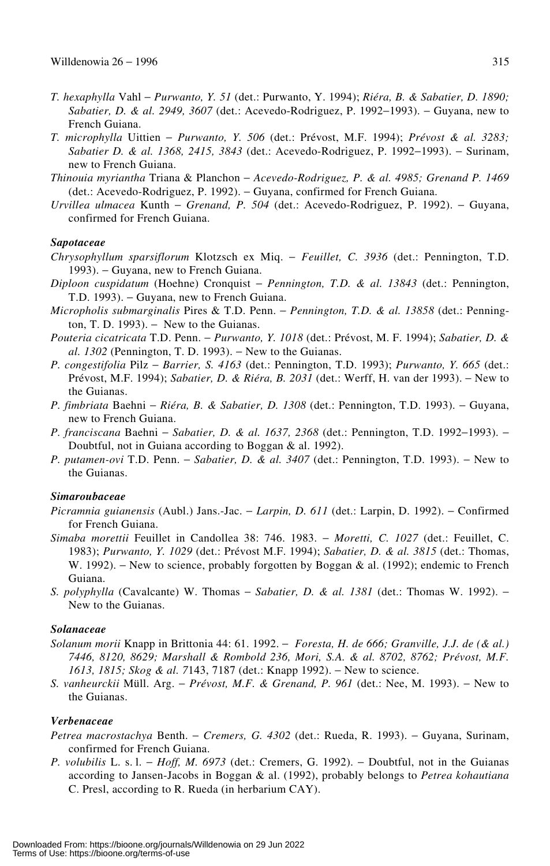- *T. hexaphylla* Vahl − *Purwanto, Y. 51* (det.: Purwanto, Y. 1994); *Riéra, B. & Sabatier, D. 1890; Sabatier, D. & al. 2949, 3607* (det.: Acevedo-Rodriguez, P. 1992−1993). − Guyana, new to French Guiana.
- *T. microphylla* Uittien − *Purwanto, Y. 506* (det.: Prévost, M.F. 1994); *Prévost & al. 3283; Sabatier D. & al. 1368, 2415, 3843* (det.: Acevedo-Rodriguez, P. 1992−1993). − Surinam, new to French Guiana.
- *Thinouia myriantha* Triana & Planchon − *Acevedo-Rodriguez, P. & al. 4985; Grenand P. 1469* (det.: Acevedo-Rodriguez, P. 1992). − Guyana, confirmed for French Guiana.
- *Urvillea ulmacea* Kunth − *Grenand, P. 504* (det.: Acevedo-Rodriguez, P. 1992). − Guyana, confirmed for French Guiana.

## *Sapotaceae*

- *Chrysophyllum sparsiflorum* Klotzsch ex Miq. − *Feuillet, C. 3936* (det.: Pennington, T.D. 1993). − Guyana, new to French Guiana.
- *Diploon cuspidatum* (Hoehne) Cronquist − *Pennington, T.D. & al. 13843* (det.: Pennington, T.D. 1993). – Guyana, new to French Guiana.
- *Micropholis submarginalis* Pires & T.D. Penn. − *Pennington, T.D. & al. 13858* (det.: Pennington, T. D. 1993).  $-$  New to the Guianas.
- *Pouteria cicatricata* T.D. Penn. − *Purwanto, Y. 1018* (det.: Prévost, M. F. 1994); *Sabatier, D. & al. 1302* (Pennington, T. D. 1993). − New to the Guianas.
- *P. congestifolia* Pilz − *Barrier, S. 4163* (det.: Pennington, T.D. 1993); *Purwanto, Y. 665* (det.: Prévost, M.F. 1994); *Sabatier, D. & Riéra, B. 2031* (det.: Werff, H. van der 1993). − New to the Guianas.
- *P. fimbriata* Baehni − *Riéra, B. & Sabatier, D. 1308* (det.: Pennington, T.D. 1993). − Guyana, new to French Guiana.
- *P. franciscana* Baehni *Sabatier, D. & al. 1637, 2368* (det.: Pennington, T.D. 1992–1993). Doubtful, not in Guiana according to Boggan & al. 1992).
- *P. putamen-ovi* T.D. Penn. *Sabatier, D. & al. 3407* (det.: Pennington, T.D. 1993). New to the Guianas.

## *Simaroubaceae*

- *Picramnia guianensis* (Aubl.) Jans.-Jac. − *Larpin, D. 611* (det.: Larpin, D. 1992). − Confirmed for French Guiana.
- *Simaba morettii* Feuillet in Candollea 38: 746. 1983. − *Moretti, C. 1027* (det.: Feuillet, C. 1983); *Purwanto, Y. 1029* (det.: Prévost M.F. 1994); *Sabatier, D. & al. 3815* (det.: Thomas, W. 1992). – New to science, probably forgotten by Boggan & al. (1992); endemic to French Guiana.
- *S. polyphylla* (Cavalcante) W. Thomas *Sabatier, D. & al. 1381* (det.: Thomas W. 1992). New to the Guianas.

## *Solanaceae*

- *Solanum morii* Knapp in Brittonia 44: 61. 1992. − *Foresta, H. de 666; Granville, J.J. de (& al.) 7446, 8120, 8629; Marshall & Rombold 236, Mori, S.A. & al. 8702, 8762; Prévost, M.F. 1613, 1815; Skog & al. 7143, 7187 (det.: Knapp 1992).* – New to science.
- *S. vanheurckii* Müll. Arg. − *Prévost, M.F. & Grenand, P. 961* (det.: Nee, M. 1993). − New to the Guianas.

#### *Verbenaceae*

- *Petrea macrostachya* Benth. − *Cremers, G. 4302* (det.: Rueda, R. 1993). − Guyana, Surinam, confirmed for French Guiana.
- *P. volubilis* L. s. l. − *Hoff, M. 6973* (det.: Cremers, G. 1992). − Doubtful, not in the Guianas according to Jansen-Jacobs in Boggan & al. (1992), probably belongs to *Petrea kohautiana* C. Presl, according to R. Rueda (in herbarium CAY).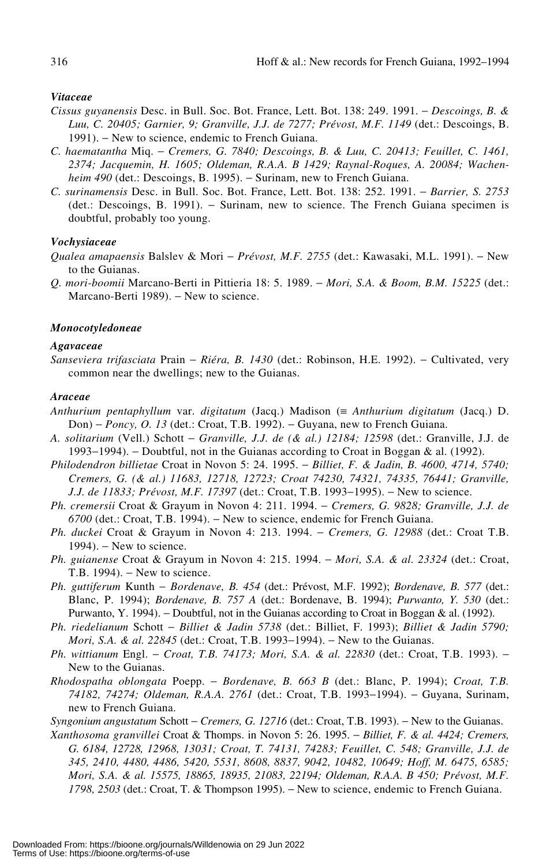#### *Vitaceae*

- *Cissus guyanensis* Desc. in Bull. Soc. Bot. France, Lett. Bot. 138: 249. 1991. − *Descoings, B. & Luu, C. 20405; Garnier, 9; Granville, J.J. de 7277; Prévost, M.F. 1149* (det.: Descoings, B. 1991). – New to science, endemic to French Guiana.
- *C. haematantha* Miq. − *Cremers, G. 7840; Descoings, B. & Luu, C. 20413; Feuillet, C. 1461, 2374; Jacquemin, H. 1605; Oldeman, R.A.A. B 1429; Raynal-Roques, A. 20084; Wachenheim 490* (det.: Descoings, B. 1995). – Surinam, new to French Guiana.
- *C. surinamensis* Desc. in Bull. Soc. Bot. France, Lett. Bot. 138: 252. 1991. − *Barrier, S. 2753* (det.: Descoings, B. 1991). − Surinam, new to science. The French Guiana specimen is doubtful, probably too young.

#### *Vochysiaceae*

*Qualea amapaensis* Balslev & Mori − *Prévost, M.F. 2755* (det.: Kawasaki, M.L. 1991). − New to the Guianas.

*Q. mori-boomii* Marcano-Berti in Pittieria 18: 5. 1989. − *Mori, S.A. & Boom, B.M. 15225* (det.: Marcano-Berti 1989). − New to science.

#### *Monocotyledoneae*

#### *Agavaceae*

*Sanseviera trifasciata* Prain − *Riéra, B. 1430* (det.: Robinson, H.E. 1992). − Cultivated, very common near the dwellings; new to the Guianas.

#### *Araceae*

- *Anthurium pentaphyllum* var. *digitatum* (Jacq.) Madison (≡ *Anthurium digitatum* (Jacq.) D. Don) – *Poncy, O. 13* (det.: Croat, T.B. 1992). – Guyana, new to French Guiana.
- *A. solitarium* (Vell.) Schott − *Granville, J.J. de (& al.) 12184; 12598* (det.: Granville, J.J. de 1993−1994). − Doubtful, not in the Guianas according to Croat in Boggan & al. (1992).
- *Philodendron billietae* Croat in Novon 5: 24. 1995. − *Billiet, F. & Jadin, B. 4600, 4714, 5740; Cremers, G. (& al.) 11683, 12718, 12723; Croat 74230, 74321, 74335, 76441; Granville, J.J. de 11833; Prévost, M.F. 17397* (det.: Croat, T.B. 1993–1995). − New to science.
- *Ph. cremersii* Croat & Grayum in Novon 4: 211. 1994. − *Cremers, G. 9828; Granville, J.J. de 6700* (det.: Croat, T.B. 1994). − New to science, endemic for French Guiana.
- *Ph. duckei* Croat & Grayum in Novon 4: 213. 1994. − *Cremers, G. 12988* (det.: Croat T.B.  $1994$ ). – New to science.
- *Ph. guianense* Croat & Grayum in Novon 4: 215. 1994. − *Mori, S.A. & al. 23324* (det.: Croat, T.B. 1994). – New to science.
- *Ph. guttiferum* Kunth − *Bordenave, B. 454* (det.: Prévost, M.F. 1992); *Bordenave, B. 577* (det.: Blanc, P. 1994); *Bordenave, B. 757 A* (det.: Bordenave, B. 1994); *Purwanto, Y. 530* (det.: Purwanto, Y. 1994). − Doubtful, not in the Guianas according to Croat in Boggan & al. (1992).
- *Ph. riedelianum* Schott − *Billiet & Jadin 5738* (det.: Billiet, F. 1993); *Billiet & Jadin 5790; Mori, S.A. & al. 22845* (det.: Croat, T.B. 1993–1994). – New to the Guianas.
- *Ph. wittianum* Engl. *Croat, T.B. 74173; Mori, S.A. & al. 22830* (det.: Croat, T.B. 1993). New to the Guianas.
- *Rhodospatha oblongata* Poepp. − *Bordenave, B. 663 B* (det.: Blanc, P. 1994); *Croat, T.B. 74182, 74274; Oldeman, R.A.A. 2761* (det.: Croat, T.B. 1993−1994). − Guyana, Surinam, new to French Guiana.

*Syngonium angustatum* Schott − *Cremers, G. 12716* (det.: Croat, T.B. 1993). − New to the Guianas.

*Xanthosoma granvillei* Croat & Thomps. in Novon 5: 26. 1995. − *Billiet, F. & al. 4424; Cremers, G. 6184, 12728, 12968, 13031; Croat, T. 74131, 74283; Feuillet, C. 548; Granville, J.J. de 345, 2410, 4480, 4486, 5420, 5531, 8608, 8837, 9042, 10482, 10649; Hoff, M. 6475, 6585; Mori, S.A. & al. 15575, 18865, 18935, 21083, 22194; Oldeman, R.A.A. B 450; Prévost, M.F. 1798, 2503* (det.: Croat, T. & Thompson 1995). – New to science, endemic to French Guiana.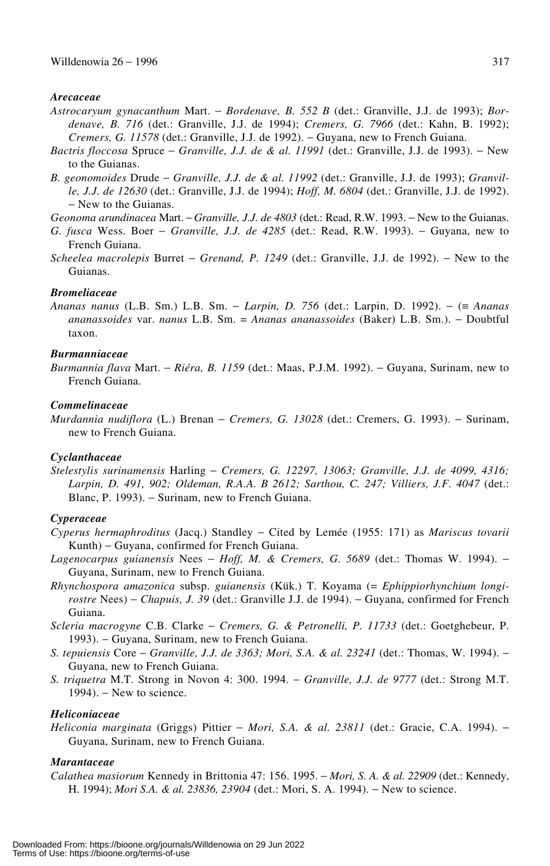#### *Arecaceae*

- *Astrocaryum gynacanthum* Mart. − *Bordenave, B. 552 B* (det.: Granville, J.J. de 1993); *Bordenave, B. 716* (det.: Granville, J.J. de 1994); *Cremers, G. 7966* (det.: Kahn, B. 1992); *Cremers, G. 11578* (det.: Granville, J.J. de 1992). − Guyana, new to French Guiana.
- *Bactris floccosa* Spruce − *Granville, J.J. de & al. 11991* (det.: Granville, J.J. de 1993). − New to the Guianas.
- *B. geonomoides* Drude − *Granville, J.J. de & al. 11992* (det.: Granville, J.J. de 1993); *Granville, J.J. de 12630* (det.: Granville, J.J. de 1994); *Hoff, M. 6804* (det.: Granville, J.J. de 1992). − New to the Guianas.

*Geonoma arundinacea* Mart. − *Granville, J.J. de 4803* (det.: Read, R.W. 1993. − New to the Guianas.

- *G. fusca* Wess. Boer − *Granville, J.J. de 4285* (det.: Read, R.W. 1993). − Guyana, new to French Guiana.
- *Scheelea macrolepis* Burret − *Grenand, P. 1249* (det.: Granville, J.J. de 1992). − New to the Guianas.

## *Bromeliaceae*

*Ananas nanus* (L.B. Sm.) L.B. Sm. − *Larpin, D. 756* (det.: Larpin, D. 1992). − (≡ *Ananas ananassoides* var. *nanus* L.B. Sm. = *Ananas ananassoides* (Baker) L.B. Sm.). − Doubtful taxon.

#### *Burmanniaceae*

*Burmannia flava* Mart. − *Riéra, B. 1159* (det.: Maas, P.J.M. 1992). − Guyana, Surinam, new to French Guiana.

## *Commelinaceae*

*Murdannia nudiflora* (L.) Brenan − *Cremers, G. 13028* (det.: Cremers, G. 1993). − Surinam, new to French Guiana.

## *Cyclanthaceae*

*Stelestylis surinamensis* Harling − *Cremers, G. 12297, 13063; Granville, J.J. de 4099, 4316; Larpin, D. 491, 902; Oldeman, R.A.A. B 2612; Sarthou, C. 247; Villiers, J.F. 4047* (det.: Blanc, P. 1993). – Surinam, new to French Guiana.

#### *Cyperaceae*

- *Cyperus hermaphroditus* (Jacq.) Standley − Cited by Lemée (1955: 171) as *Mariscus tovarii* Kunth) − Guyana, confirmed for French Guiana.
- *Lagenocarpus guianensis* Nees − *Hoff, M. & Cremers, G. 5689* (det.: Thomas W. 1994). − Guyana, Surinam, new to French Guiana.
- *Rhynchospora amazonica* subsp. *guianensis* (Kük.) T. Koyama (= *Ephippiorhynchium longirostre* Nees) − *Chapuis, J. 39* (det.: Granville J.J. de 1994). − Guyana, confirmed for French Guiana.
- *Scleria macrogyne* C.B. Clarke − *Cremers, G. & Petronelli, P. 11733* (det.: Goetghebeur, P. 1993). − Guyana, Surinam, new to French Guiana.
- *S. tepuiensis* Core − *Granville, J.J. de 3363; Mori, S.A. & al. 23241* (det.: Thomas, W. 1994). − Guyana, new to French Guiana.
- *S. triquetra* M.T. Strong in Novon 4: 300. 1994. − *Granville, J.J. de 9777* (det.: Strong M.T. 1994). – New to science.

#### *Heliconiaceae*

*Heliconia marginata* (Griggs) Pittier − *Mori, S.A. & al. 23811* (det.: Gracie, C.A. 1994). − Guyana, Surinam, new to French Guiana.

## *Marantaceae*

*Calathea masiorum* Kennedy in Brittonia 47: 156. 1995. − *Mori, S. A. & al. 22909* (det.: Kennedy, H. 1994); *Mori S.A. & al. 23836, 23904* (det.: Mori, S. A. 1994). − New to science.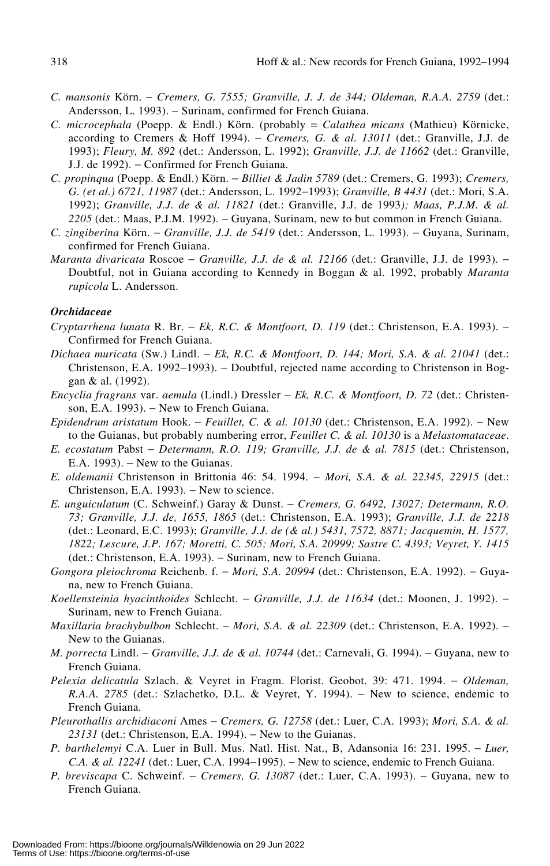- *C. mansonis* Körn. − *Cremers, G. 7555; Granville, J. J. de 344; Oldeman, R.A.A. 2759* (det.: Andersson, L. 1993). − Surinam, confirmed for French Guiana.
- *C. microcephala* (Poepp. & Endl.) Körn. (probably = *Calathea micans* (Mathieu) Körnicke, according to Cremers & Hoff 1994). − *Cremers, G. & al. 13011* (det.: Granville, J.J. de 1993); *Fleury, M. 892* (det.: Andersson, L. 1992); *Granville, J.J. de 11662* (det.: Granville, J.J. de 1992). − Confirmed for French Guiana.
- *C. propinqua* (Poepp. & Endl.) Körn. − *Billiet & Jadin 5789* (det.: Cremers, G. 1993); *Cremers, G. (et al.) 6721, 11987* (det.: Andersson, L. 1992−1993); *Granville, B 4431* (det.: Mori, S.A. 1992); *Granville, J.J. de & al. 11821* (det.: Granville, J.J. de 1993*); Maas, P.J.M. & al.* 2205<sup></sup> (det.: Maas, P.J.M. 1992). − Guyana, Surinam, new to but common in French Guiana.
- *C. zingiberina* Körn. − *Granville, J.J. de 5419* (det.: Andersson, L. 1993). − Guyana, Surinam, confirmed for French Guiana.
- *Maranta divaricata* Roscoe *Granville, J.J. de & al. 12166* (det.: Granville, J.J. de 1993). Doubtful, not in Guiana according to Kennedy in Boggan & al. 1992, probably *Maranta rupicola* L. Andersson.

## *Orchidaceae*

- *Cryptarrhena lunata* R. Br. − *Ek, R.C. & Montfoort, D. 119* (det.: Christenson, E.A. 1993). − Confirmed for French Guiana.
- *Dichaea muricata* (Sw.) Lindl. − *Ek, R.C. & Montfoort, D. 144; Mori, S.A. & al. 21041* (det.: Christenson, E.A. 1992−1993). − Doubtful, rejected name according to Christenson in Boggan & al. (1992).
- *Encyclia fragrans* var. *aemula* (Lindl.) Dressler − *Ek, R.C. & Montfoort, D. 72* (det.: Christenson, E.A. 1993). – New to French Guiana.
- *Epidendrum aristatum* Hook. − *Feuillet, C. & al. 10130* (det.: Christenson, E.A. 1992). − New to the Guianas, but probably numbering error, *Feuillet C. & al. 10130* is a *Melastomataceae*.
- *E. ecostatum* Pabst − *Determann, R.O. 119; Granville, J.J. de & al. 7815* (det.: Christenson, E.A. 1993). − New to the Guianas.
- *E. oldemanii* Christenson in Brittonia 46: 54. 1994. − *Mori, S.A. & al. 22345, 22915* (det.: Christenson, E.A. 1993). − New to science.
- *E. unguiculatum* (C. Schweinf.) Garay & Dunst. − *Cremers, G. 6492, 13027; Determann, R.O. 73; Granville, J.J. de, 1655, 1865* (det.: Christenson, E.A. 1993); *Granville, J.J. de 2218* (det.: Leonard, E.C. 1993); *Granville, J.J. de (& al.) 5431, 7572, 8871; Jacquemin, H. 1577, 1822; Lescure, J.P. 167; Moretti, C. 505; Mori, S.A. 20999; Sastre C. 4393; Veyret, Y. 1415* (det.: Christenson, E.A. 1993). − Surinam, new to French Guiana.
- *Gongora pleiochroma* Reichenb. f. − *Mori, S.A. 20994* (det.: Christenson, E.A. 1992). − Guyana, new to French Guiana.
- *Koellensteinia hyacinthoides* Schlecht. − *Granville, J.J. de 11634* (det.: Moonen, J. 1992). − Surinam, new to French Guiana.
- *Maxillaria brachybulbon* Schlecht. − *Mori, S.A. & al. 22309* (det.: Christenson, E.A. 1992). − New to the Guianas.
- *M. porrecta* Lindl. *Granville, J.J. de & al. 10744* (det.: Carnevali, G. 1994). Guyana, new to French Guiana.
- *Pelexia delicatula* Szlach. & Veyret in Fragm. Florist. Geobot. 39: 471. 1994. − *Oldeman, R.A.A. 2785* (det.: Szlachetko, D.L. & Veyret, Y. 1994). – New to science, endemic to French Guiana.
- *Pleurothallis archidiaconi* Ames − *Cremers, G. 12758* (det.: Luer, C.A. 1993); *Mori, S.A. & al.* 2*3131* (det.: Christenson, E.A. 1994). – New to the Guianas.
- *P. barthelemyi* C.A. Luer in Bull. Mus. Natl. Hist. Nat., B, Adansonia 16: 231. 1995. − *Luer, C.A. & al. 12241* (det.: Luer, C.A. 1994−1995). − New to science, endemic to French Guiana.
- *P. breviscapa* C. Schweinf. − *Cremers, G. 13087* (det.: Luer, C.A. 1993). − Guyana, new to French Guiana.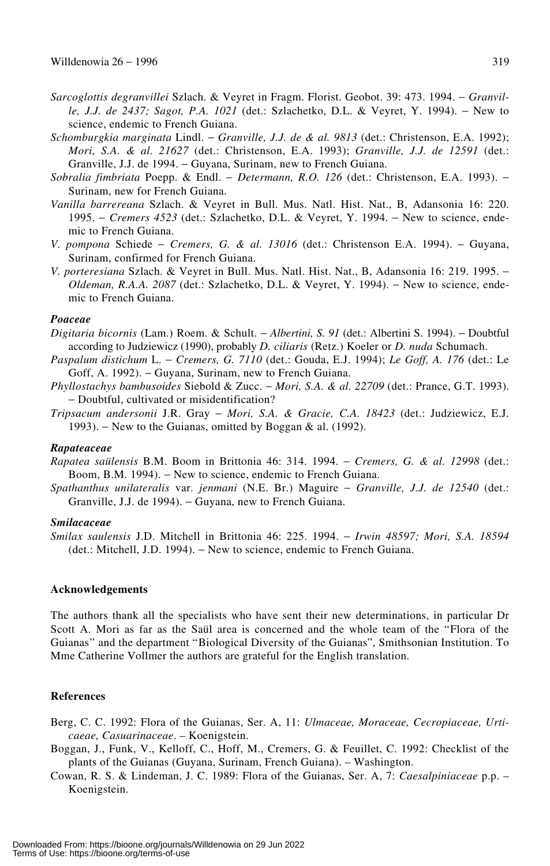- *Sarcoglottis degranvillei* Szlach. & Veyret in Fragm. Florist. Geobot. 39: 473. 1994. − *Granville, J.J. de 2437; Sagot, P.A. 1021* (det.: Szlachetko, D.L. & Veyret, Y. 1994). − New to science, endemic to French Guiana.
- *Schomburgkia marginata* Lindl. − *Granville, J.J. de & al. 9813* (det.: Christenson, E.A. 1992); *Mori, S.A. & al. 21627* (det.: Christenson, E.A. 1993); *Granville, J.J. de 12591* (det.: Granville, J.J. de 1994. − Guyana, Surinam, new to French Guiana.
- *Sobralia fimbriata* Poepp. & Endl. − *Determann, R.O. 126* (det.: Christenson, E.A. 1993). − Surinam, new for French Guiana.
- *Vanilla barrereana* Szlach. & Veyret in Bull. Mus. Natl. Hist. Nat., B, Adansonia 16: 220. 1995. − *Cremers 4523* (det.: Szlachetko, D.L. & Veyret, Y. 1994. − New to science, endemic to French Guiana.
- *V. pompona* Schiede − *Cremers, G. & al. 13016* (det.: Christenson E.A. 1994). − Guyana, Surinam, confirmed for French Guiana.
- *V. porteresiana* Szlach. & Veyret in Bull. Mus. Natl. Hist. Nat., B, Adansonia 16: 219. 1995. − *Oldeman, R.A.A. 2087* (det.: Szlachetko, D.L. & Veyret, Y. 1994). – New to science, endemic to French Guiana.

#### *Poaceae*

- *Digitaria bicornis* (Lam.) Roem. & Schult. − *Albertini, S. 91* (det.: Albertini S. 1994). − Doubtful according to Judziewicz (1990), probably *D. ciliaris* (Retz.) Koeler or *D. nuda* Schumach.
- *Paspalum distichum* L. − *Cremers, G. 7110* (det.: Gouda, E.J. 1994); *Le Goff, A. 176* (det.: Le Goff, A. 1992). – Guyana, Surinam, new to French Guiana.
- *Phyllostachys bambusoides* Siebold & Zucc. − *Mori, S.A. & al. 22709* (det.: Prance, G.T. 1993). − Doubtful, cultivated or misidentification?
- *Tripsacum andersonii* J.R. Gray − *Mori, S.A. & Gracie, C.A. 18423* (det.: Judziewicz, E.J. 1993). − New to the Guianas, omitted by Boggan & al. (1992).

#### *Rapateaceae*

- *Rapatea saülensis* B.M. Boom in Brittonia 46: 314. 1994. − *Cremers, G. & al. 12998* (det.: Boom, B.M. 1994). − New to science, endemic to French Guiana.
- *Spathanthus unilateralis* var. *jenmani* (N.E. Br.) Maguire − *Granville, J.J. de 12540* (det.: Granville, J.J. de 1994). − Guyana, new to French Guiana.

#### *Smilacaceae*

*Smilax saulensis* J.D. Mitchell in Brittonia 46: 225. 1994. − *Irwin 48597; Mori, S.A. 18594* (det.: Mitchell, J.D. 1994). − New to science, endemic to French Guiana.

## **Acknowledgements**

The authors thank all the specialists who have sent their new determinations, in particular Dr Scott A. Mori as far as the Saül area is concerned and the whole team of the "Flora of the Guianas" and the department "Biological Diversity of the Guianas", Smithsonian Institution. To Mme Catherine Vollmer the authors are grateful for the English translation.

## **References**

- Berg, C. C. 1992: Flora of the Guianas, Ser. A, 11: *Ulmaceae, Moraceae, Cecropiaceae, Urticaeae, Casuarinaceae*. – Koenigstein.
- Boggan, J., Funk, V., Kelloff, C., Hoff, M., Cremers, G. & Feuillet, C. 1992: Checklist of the plants of the Guianas (Guyana, Surinam, French Guiana). – Washington.
- Cowan, R. S. & Lindeman, J. C. 1989: Flora of the Guianas, Ser. A, 7: *Caesalpiniaceae* p.p. Koenigstein.